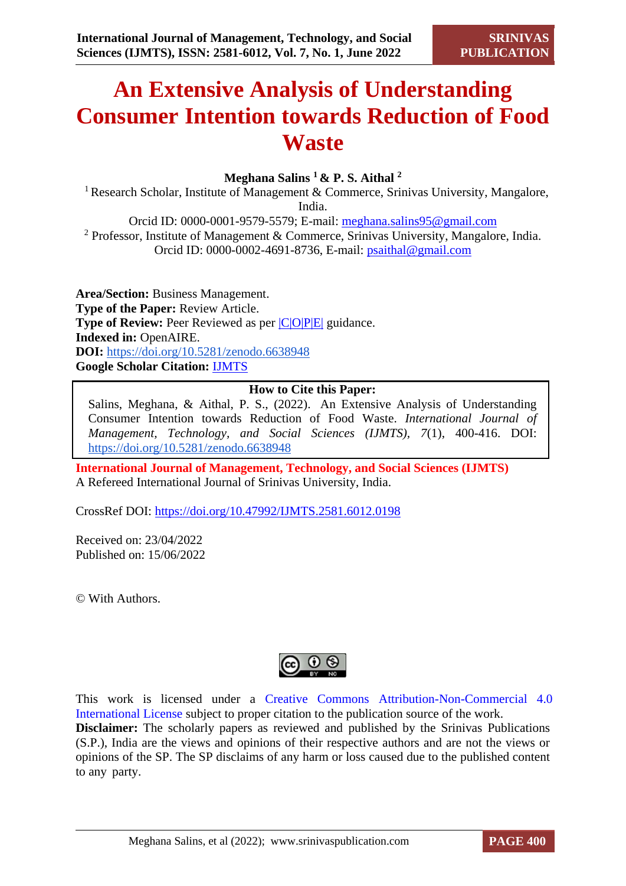# **An Extensive Analysis of Understanding Consumer Intention towards Reduction of Food Waste**

## **Meghana Salins <sup>1</sup>& P. S. Aithal <sup>2</sup>**

<sup>1</sup> Research Scholar, Institute of Management & Commerce, Srinivas University, Mangalore, India.

Orcid ID: 0000-0001-9579-5579; E-mail: [meghana.salins95@gmail.com](mailto:meghana.salins95@gmail.com)  <sup>2</sup> Professor, Institute of Management & Commerce, Srinivas University, Mangalore, India. Orcid ID: 0000-0002-4691-8736, E-mail: [psaithal@gmail.com](mailto:psaithal@gmail.com)

**Area/Section:** Business Management. **Type of the Paper:** Review Article. **Type of Review:** Peer Reviewed as per  $|C|O|P|E|$  guidance. **Indexed in:** OpenAIRE. **DOI:** <https://doi.org/10.5281/zenodo.6638948> **Google Scholar Citation:** [IJMTS](https://scholar.google.com/citations?user=bphF0BQAAAAJ)

## **How to Cite this Paper:**

Salins, Meghana, & Aithal, P. S., (2022). An Extensive Analysis of Understanding Consumer Intention towards Reduction of Food Waste. *International Journal of Management, Technology, and Social Sciences (IJMTS), 7*(1), 400-416. DOI: <https://doi.org/10.5281/zenodo.6638948>

**International Journal of Management, Technology, and Social Sciences (IJMTS)** A Refereed International Journal of Srinivas University, India.

CrossRef DOI: [https://doi.org/10.47992/IJMTS.2581.6012.0198](https://search.crossref.org/?q=10.47992%2FIJMTS.2581.6012.0198&from_ui=yes)

Received on: 23/04/2022 Published on: 15/06/2022

© With Authors.



This work is licensed under a Creative Commons Attribution-Non-Commercial 4.0 International License subject to proper citation to the publication source of the work. **Disclaimer:** The scholarly papers as reviewed and published by the Srinivas Publications (S.P.), India are the views and opinions of their respective authors and are not the views or opinions of the SP. The SP disclaims of any harm or loss caused due to the published content to any party.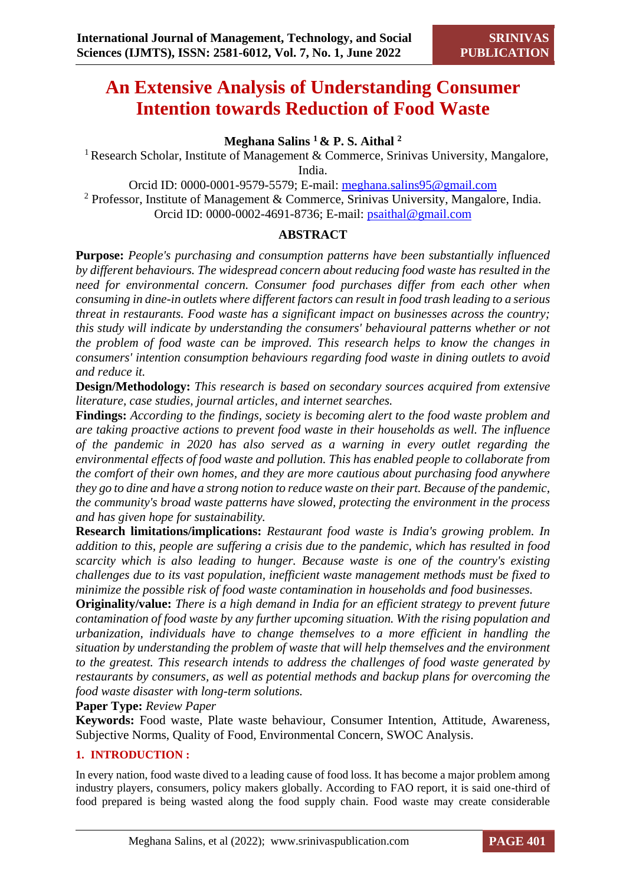## **An Extensive Analysis of Understanding Consumer Intention towards Reduction of Food Waste**

## **Meghana Salins <sup>1</sup>& P. S. Aithal <sup>2</sup>**

<sup>1</sup> Research Scholar, Institute of Management & Commerce, Srinivas University, Mangalore, India.

Orcid ID: 0000-0001-9579-5579; E-mail: [meghana.salins95@gmail.com](mailto:meghana.salins95@gmail.com) 

<sup>2</sup> Professor, Institute of Management & Commerce, Srinivas University, Mangalore, India. Orcid ID: 0000-0002-4691-8736; E-mail: [psaithal@gmail.com](mailto:psaithal@gmail.com)

## **ABSTRACT**

**Purpose:** *People's purchasing and consumption patterns have been substantially influenced by different behaviours. The widespread concern about reducing food waste has resulted in the need for environmental concern. Consumer food purchases differ from each other when consuming in dine-in outlets where different factors can result in food trash leading to a serious threat in restaurants. Food waste has a significant impact on businesses across the country; this study will indicate by understanding the consumers' behavioural patterns whether or not the problem of food waste can be improved. This research helps to know the changes in consumers' intention consumption behaviours regarding food waste in dining outlets to avoid and reduce it.*

**Design/Methodology:** *This research is based on secondary sources acquired from extensive literature, case studies, journal articles, and internet searches.*

**Findings:** *According to the findings, society is becoming alert to the food waste problem and are taking proactive actions to prevent food waste in their households as well. The influence of the pandemic in 2020 has also served as a warning in every outlet regarding the environmental effects of food waste and pollution. This has enabled people to collaborate from the comfort of their own homes, and they are more cautious about purchasing food anywhere they go to dine and have a strong notion to reduce waste on their part. Because of the pandemic, the community's broad waste patterns have slowed, protecting the environment in the process and has given hope for sustainability.*

**Research limitations/implications:** *Restaurant food waste is India's growing problem. In addition to this, people are suffering a crisis due to the pandemic, which has resulted in food scarcity which is also leading to hunger. Because waste is one of the country's existing challenges due to its vast population, inefficient waste management methods must be fixed to minimize the possible risk of food waste contamination in households and food businesses.*

**Originality/value:** *There is a high demand in India for an efficient strategy to prevent future contamination of food waste by any further upcoming situation. With the rising population and urbanization, individuals have to change themselves to a more efficient in handling the situation by understanding the problem of waste that will help themselves and the environment to the greatest. This research intends to address the challenges of food waste generated by restaurants by consumers, as well as potential methods and backup plans for overcoming the food waste disaster with long-term solutions.*

**Paper Type:** *Review Paper*

**Keywords:** Food waste, Plate waste behaviour, Consumer Intention, Attitude, Awareness, Subjective Norms, Quality of Food, Environmental Concern, SWOC Analysis.

## **1. INTRODUCTION :**

In every nation, food waste dived to a leading cause of food loss. It has become a major problem among industry players, consumers, policy makers globally. According to FAO report, it is said one-third of food prepared is being wasted along the food supply chain. Food waste may create considerable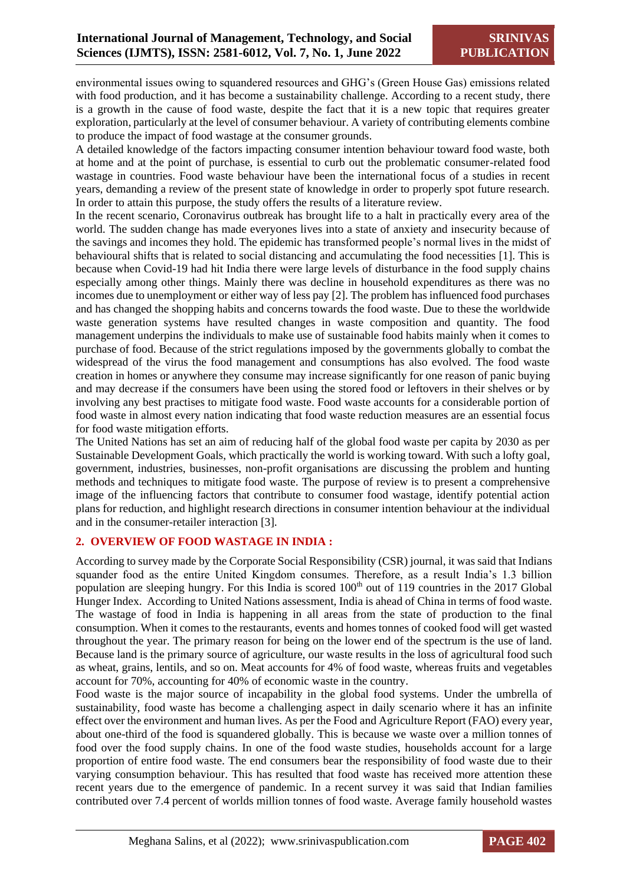environmental issues owing to squandered resources and GHG's (Green House Gas) emissions related with food production, and it has become a sustainability challenge. According to a recent study, there is a growth in the cause of food waste, despite the fact that it is a new topic that requires greater exploration, particularly at the level of consumer behaviour. A variety of contributing elements combine to produce the impact of food wastage at the consumer grounds.

A detailed knowledge of the factors impacting consumer intention behaviour toward food waste, both at home and at the point of purchase, is essential to curb out the problematic consumer-related food wastage in countries. Food waste behaviour have been the international focus of a studies in recent years, demanding a review of the present state of knowledge in order to properly spot future research. In order to attain this purpose, the study offers the results of a literature review.

In the recent scenario, Coronavirus outbreak has brought life to a halt in practically every area of the world. The sudden change has made everyones lives into a state of anxiety and insecurity because of the savings and incomes they hold. The epidemic has transformed people's normal lives in the midst of behavioural shifts that is related to social distancing and accumulating the food necessities [1]. This is because when Covid-19 had hit India there were large levels of disturbance in the food supply chains especially among other things. Mainly there was decline in household expenditures as there was no incomes due to unemployment or either way of less pay [2]. The problem has influenced food purchases and has changed the shopping habits and concerns towards the food waste. Due to these the worldwide waste generation systems have resulted changes in waste composition and quantity. The food management underpins the individuals to make use of sustainable food habits mainly when it comes to purchase of food. Because of the strict regulations imposed by the governments globally to combat the widespread of the virus the food management and consumptions has also evolved. The food waste creation in homes or anywhere they consume may increase significantly for one reason of panic buying and may decrease if the consumers have been using the stored food or leftovers in their shelves or by involving any best practises to mitigate food waste. Food waste accounts for a considerable portion of food waste in almost every nation indicating that food waste reduction measures are an essential focus for food waste mitigation efforts.

The United Nations has set an aim of reducing half of the global food waste per capita by 2030 as per Sustainable Development Goals, which practically the world is working toward. With such a lofty goal, government, industries, businesses, non-profit organisations are discussing the problem and hunting methods and techniques to mitigate food waste. The purpose of review is to present a comprehensive image of the influencing factors that contribute to consumer food wastage, identify potential action plans for reduction, and highlight research directions in consumer intention behaviour at the individual and in the consumer-retailer interaction [3].

#### **2. OVERVIEW OF FOOD WASTAGE IN INDIA :**

According to survey made by the Corporate Social Responsibility (CSR) journal, it was said that Indians squander food as the entire United Kingdom consumes. Therefore, as a result India's 1.3 billion population are sleeping hungry. For this India is scored 100<sup>th</sup> out of 119 countries in the 2017 Global Hunger Index. According to United Nations assessment, India is ahead of China in terms of food waste. The wastage of food in India is happening in all areas from the state of production to the final consumption. When it comes to the restaurants, events and homes tonnes of cooked food will get wasted throughout the year. The primary reason for being on the lower end of the spectrum is the use of land. Because land is the primary source of agriculture, our waste results in the loss of agricultural food such as wheat, grains, lentils, and so on. Meat accounts for 4% of food waste, whereas fruits and vegetables account for 70%, accounting for 40% of economic waste in the country.

Food waste is the major source of incapability in the global food systems. Under the umbrella of sustainability, food waste has become a challenging aspect in daily scenario where it has an infinite effect over the environment and human lives. As per the Food and Agriculture Report (FAO) every year, about one-third of the food is squandered globally. This is because we waste over a million tonnes of food over the food supply chains. In one of the food waste studies, households account for a large proportion of entire food waste. The end consumers bear the responsibility of food waste due to their varying consumption behaviour. This has resulted that food waste has received more attention these recent years due to the emergence of pandemic. In a recent survey it was said that Indian families contributed over 7.4 percent of worlds million tonnes of food waste. Average family household wastes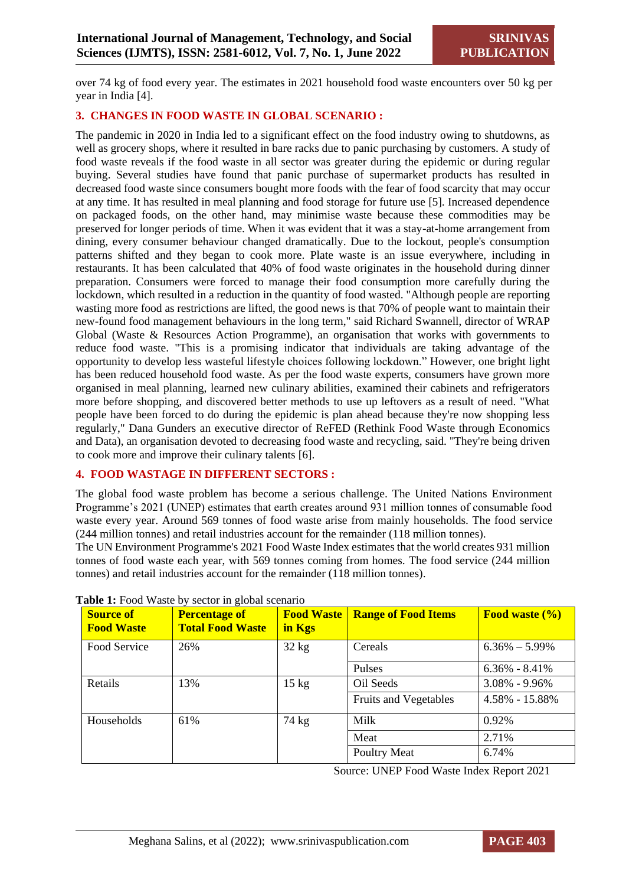over 74 kg of food every year. The estimates in 2021 household food waste encounters over 50 kg per year in India [4].

## **3. CHANGES IN FOOD WASTE IN GLOBAL SCENARIO :**

The pandemic in 2020 in India led to a significant effect on the food industry owing to shutdowns, as well as grocery shops, where it resulted in bare racks due to panic purchasing by customers. A study of food waste reveals if the food waste in all sector was greater during the epidemic or during regular buying. Several studies have found that panic purchase of supermarket products has resulted in decreased food waste since consumers bought more foods with the fear of food scarcity that may occur at any time. It has resulted in meal planning and food storage for future use [5]. Increased dependence on packaged foods, on the other hand, may minimise waste because these commodities may be preserved for longer periods of time. When it was evident that it was a stay-at-home arrangement from dining, every consumer behaviour changed dramatically. Due to the lockout, people's consumption patterns shifted and they began to cook more. Plate waste is an issue everywhere, including in restaurants. It has been calculated that 40% of food waste originates in the household during dinner preparation. Consumers were forced to manage their food consumption more carefully during the lockdown, which resulted in a reduction in the quantity of food wasted. "Although people are reporting wasting more food as restrictions are lifted, the good news is that 70% of people want to maintain their new-found food management behaviours in the long term," said Richard Swannell, director of WRAP Global (Waste & Resources Action Programme), an organisation that works with governments to reduce food waste. "This is a promising indicator that individuals are taking advantage of the opportunity to develop less wasteful lifestyle choices following lockdown." However, one bright light has been reduced household food waste. As per the food waste experts, consumers have grown more organised in meal planning, learned new culinary abilities, examined their cabinets and refrigerators more before shopping, and discovered better methods to use up leftovers as a result of need. "What people have been forced to do during the epidemic is plan ahead because they're now shopping less regularly," Dana Gunders an executive director of ReFED (Rethink Food Waste through Economics and Data), an organisation devoted to decreasing food waste and recycling, said. "They're being driven to cook more and improve their culinary talents [6].

#### **4. FOOD WASTAGE IN DIFFERENT SECTORS :**

The global food waste problem has become a serious challenge. The United Nations Environment Programme's 2021 (UNEP) estimates that earth creates around 931 million tonnes of consumable food waste every year. Around 569 tonnes of food waste arise from mainly households. The food service (244 million tonnes) and retail industries account for the remainder (118 million tonnes).

The UN Environment Programme's 2021 Food Waste Index estimates that the world creates 931 million tonnes of food waste each year, with 569 tonnes coming from homes. The food service (244 million tonnes) and retail industries account for the remainder (118 million tonnes).

| <b>Source of</b><br><b>Food Waste</b> | <b>Percentage of</b><br><b>Total Food Waste</b> | <b>Food Waste</b><br>in Kgs | <b>Range of Food Items</b>   | Food waste $(\% )$ |
|---------------------------------------|-------------------------------------------------|-----------------------------|------------------------------|--------------------|
| Food Service                          | 26%                                             | $32 \text{ kg}$             | Cereals                      | $6.36\% - 5.99\%$  |
|                                       |                                                 |                             | Pulses                       | $6.36\% - 8.41\%$  |
| Retails                               | 13%                                             | $15 \text{ kg}$             | Oil Seeds                    | $3.08\% - 9.96\%$  |
|                                       |                                                 |                             | <b>Fruits and Vegetables</b> | 4.58% - 15.88%     |
| Households                            | 61%                                             | 74 kg                       | Milk                         | 0.92%              |
|                                       |                                                 |                             | Meat                         | 2.71%              |
|                                       |                                                 |                             | Poultry Meat                 | 6.74%              |

#### **Table 1:** Food Waste by sector in global scenario

Source: UNEP Food Waste Index Report 2021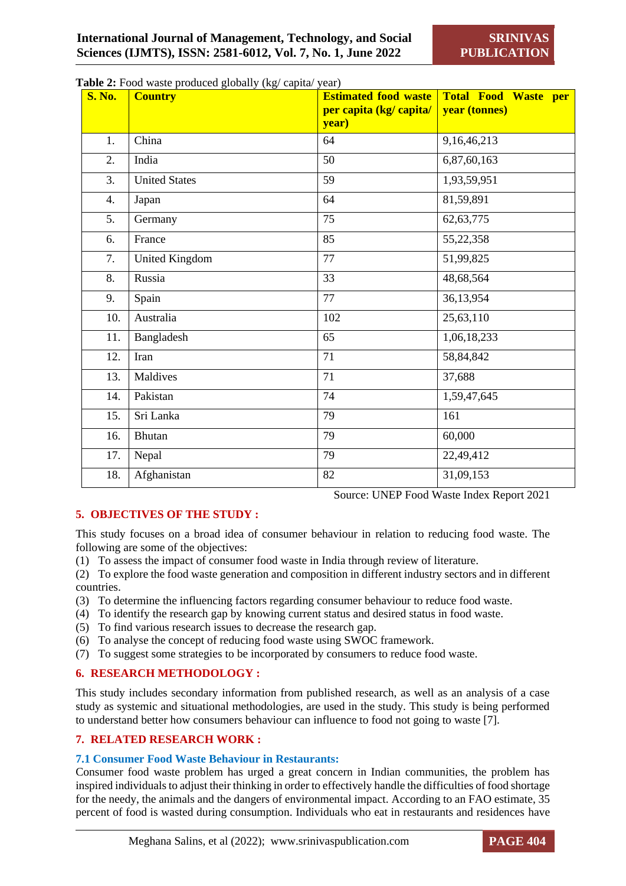| <b>S. No.</b> | <b>Table 2:</b> Food waste produced globally (kg/ capita/ year)<br><b>Country</b> | <b>Estimated food waste</b><br>per capita (kg/ capita/<br>year) | <b>Total Food Waste per</b><br>year (tonnes) |
|---------------|-----------------------------------------------------------------------------------|-----------------------------------------------------------------|----------------------------------------------|
| 1.            | China                                                                             | 64                                                              | 9,16,46,213                                  |
| 2.            | India                                                                             | 50                                                              | 6,87,60,163                                  |
| 3.            | <b>United States</b>                                                              | 59                                                              | 1,93,59,951                                  |
| 4.            | Japan                                                                             | 64                                                              | 81,59,891                                    |
| 5.            | Germany                                                                           | 75                                                              | 62, 63, 775                                  |
| 6.            | France                                                                            | 85                                                              | 55, 22, 358                                  |
| 7.            | <b>United Kingdom</b>                                                             | 77                                                              | 51,99,825                                    |
| 8.            | Russia                                                                            | 33                                                              | 48,68,564                                    |
| 9.            | Spain                                                                             | 77                                                              | 36,13,954                                    |
| 10.           | Australia                                                                         | 102                                                             | 25,63,110                                    |
| 11.           | Bangladesh                                                                        | 65                                                              | 1,06,18,233                                  |
| 12.           | Iran                                                                              | 71                                                              | 58,84,842                                    |
| 13.           | Maldives                                                                          | 71                                                              | 37,688                                       |
| 14.           | Pakistan                                                                          | 74                                                              | 1,59,47,645                                  |
| 15.           | Sri Lanka                                                                         | 79                                                              | 161                                          |
| 16.           | Bhutan                                                                            | 79                                                              | 60,000                                       |
| 17.           | Nepal                                                                             | 79                                                              | 22,49,412                                    |
| 18.           | Afghanistan                                                                       | 82                                                              | 31,09,153                                    |

**Table 2:** Food waste produced globally (kg/ capita/ year)

## **5. OBJECTIVES OF THE STUDY :**

Source: UNEP Food Waste Index Report 2021

This study focuses on a broad idea of consumer behaviour in relation to reducing food waste. The following are some of the objectives:

- (1) To assess the impact of consumer food waste in India through review of literature.
- (2) To explore the food waste generation and composition in different industry sectors and in different countries.
- (3) To determine the influencing factors regarding consumer behaviour to reduce food waste.
- (4) To identify the research gap by knowing current status and desired status in food waste.
- (5) To find various research issues to decrease the research gap.
- (6) To analyse the concept of reducing food waste using SWOC framework.
- (7) To suggest some strategies to be incorporated by consumers to reduce food waste.

## **6. RESEARCH METHODOLOGY :**

This study includes secondary information from published research, as well as an analysis of a case study as systemic and situational methodologies, are used in the study. This study is being performed to understand better how consumers behaviour can influence to food not going to waste [7].

## **7. RELATED RESEARCH WORK :**

## **7.1 Consumer Food Waste Behaviour in Restaurants:**

Consumer food waste problem has urged a great concern in Indian communities, the problem has inspired individuals to adjust their thinking in order to effectively handle the difficulties of food shortage for the needy, the animals and the dangers of environmental impact. According to an FAO estimate, 35 percent of food is wasted during consumption. Individuals who eat in restaurants and residences have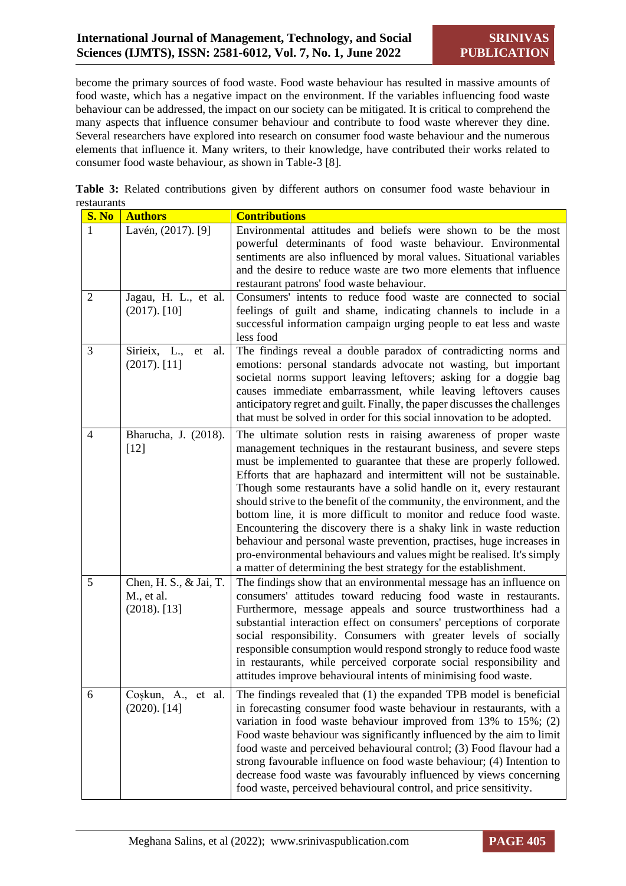become the primary sources of food waste. Food waste behaviour has resulted in massive amounts of food waste, which has a negative impact on the environment. If the variables influencing food waste behaviour can be addressed, the impact on our society can be mitigated. It is critical to comprehend the many aspects that influence consumer behaviour and contribute to food waste wherever they dine. Several researchers have explored into research on consumer food waste behaviour and the numerous elements that influence it. Many writers, to their knowledge, have contributed their works related to consumer food waste behaviour, as shown in Table-3 [8].

**Table 3:** Related contributions given by different authors on consumer food waste behaviour in restaurants

| <b>S. No</b>   | <b>Authors</b>                                          | <b>Contributions</b>                                                                                                                                                                                                                                                                                                                                                                                                                                                                                                                                                                                                                                                                                                                                                                                        |
|----------------|---------------------------------------------------------|-------------------------------------------------------------------------------------------------------------------------------------------------------------------------------------------------------------------------------------------------------------------------------------------------------------------------------------------------------------------------------------------------------------------------------------------------------------------------------------------------------------------------------------------------------------------------------------------------------------------------------------------------------------------------------------------------------------------------------------------------------------------------------------------------------------|
|                | Lavén, (2017). [9]                                      | Environmental attitudes and beliefs were shown to be the most<br>powerful determinants of food waste behaviour. Environmental<br>sentiments are also influenced by moral values. Situational variables<br>and the desire to reduce waste are two more elements that influence<br>restaurant patrons' food waste behaviour.                                                                                                                                                                                                                                                                                                                                                                                                                                                                                  |
| $\overline{2}$ | Jagau, H. L., et al.<br>$(2017)$ . [10]                 | Consumers' intents to reduce food waste are connected to social<br>feelings of guilt and shame, indicating channels to include in a<br>successful information campaign urging people to eat less and waste<br>less food                                                                                                                                                                                                                                                                                                                                                                                                                                                                                                                                                                                     |
| 3              | Sirieix, L.,<br>et<br>al.<br>$(2017)$ . [11]            | The findings reveal a double paradox of contradicting norms and<br>emotions: personal standards advocate not wasting, but important<br>societal norms support leaving leftovers; asking for a doggie bag<br>causes immediate embarrassment, while leaving leftovers causes<br>anticipatory regret and guilt. Finally, the paper discusses the challenges<br>that must be solved in order for this social innovation to be adopted.                                                                                                                                                                                                                                                                                                                                                                          |
| $\overline{4}$ | Bharucha, J. (2018).<br>$[12]$                          | The ultimate solution rests in raising awareness of proper waste<br>management techniques in the restaurant business, and severe steps<br>must be implemented to guarantee that these are properly followed.<br>Efforts that are haphazard and intermittent will not be sustainable.<br>Though some restaurants have a solid handle on it, every restaurant<br>should strive to the benefit of the community, the environment, and the<br>bottom line, it is more difficult to monitor and reduce food waste.<br>Encountering the discovery there is a shaky link in waste reduction<br>behaviour and personal waste prevention, practises, huge increases in<br>pro-environmental behaviours and values might be realised. It's simply<br>a matter of determining the best strategy for the establishment. |
| 5              | Chen, H. S., & Jai, T.<br>M., et al.<br>$(2018)$ . [13] | The findings show that an environmental message has an influence on<br>consumers' attitudes toward reducing food waste in restaurants.<br>Furthermore, message appeals and source trustworthiness had a<br>substantial interaction effect on consumers' perceptions of corporate<br>social responsibility. Consumers with greater levels of socially<br>responsible consumption would respond strongly to reduce food waste<br>in restaurants, while perceived corporate social responsibility and<br>attitudes improve behavioural intents of minimising food waste.                                                                                                                                                                                                                                       |
| 6              | Coşkun, A., et al.<br>$(2020)$ . [14]                   | The findings revealed that (1) the expanded TPB model is beneficial<br>in forecasting consumer food waste behaviour in restaurants, with a<br>variation in food waste behaviour improved from $13\%$ to $15\%$ ; (2)<br>Food waste behaviour was significantly influenced by the aim to limit<br>food waste and perceived behavioural control; (3) Food flavour had a<br>strong favourable influence on food waste behaviour; (4) Intention to<br>decrease food waste was favourably influenced by views concerning<br>food waste, perceived behavioural control, and price sensitivity.                                                                                                                                                                                                                    |

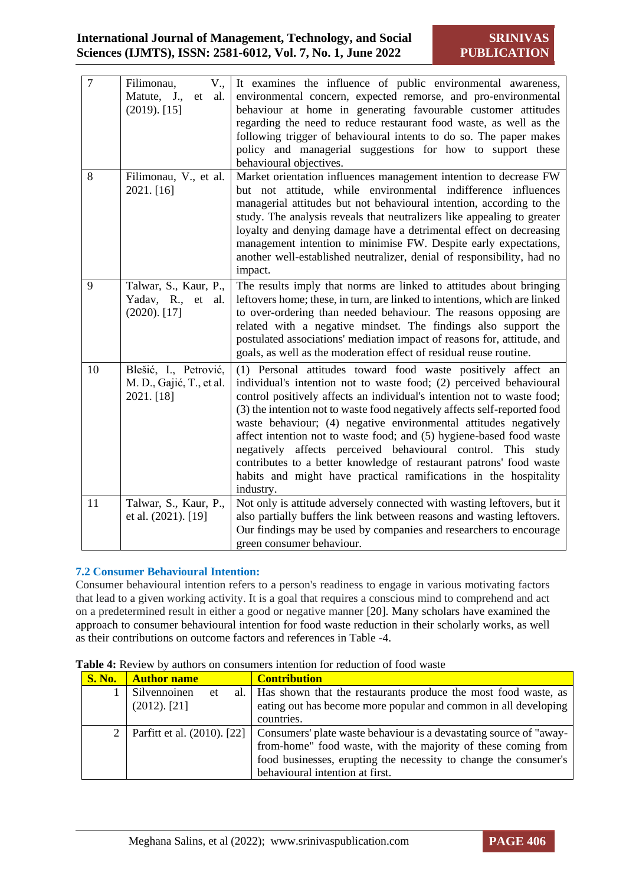| $\overline{7}$ | Filimonau,<br>V.,<br>Matute, J.,<br>et<br>al.<br>$(2019)$ . [15] | It examines the influence of public environmental awareness,<br>environmental concern, expected remorse, and pro-environmental<br>behaviour at home in generating favourable customer attitudes<br>regarding the need to reduce restaurant food waste, as well as the<br>following trigger of behavioural intents to do so. The paper makes<br>policy and managerial suggestions for how to support these<br>behavioural objectives.                                                                                                                                                                                                                                |
|----------------|------------------------------------------------------------------|---------------------------------------------------------------------------------------------------------------------------------------------------------------------------------------------------------------------------------------------------------------------------------------------------------------------------------------------------------------------------------------------------------------------------------------------------------------------------------------------------------------------------------------------------------------------------------------------------------------------------------------------------------------------|
| 8              | Filimonau, V., et al.<br>2021. [16]                              | Market orientation influences management intention to decrease FW<br>but not attitude, while environmental indifference influences<br>managerial attitudes but not behavioural intention, according to the<br>study. The analysis reveals that neutralizers like appealing to greater<br>loyalty and denying damage have a detrimental effect on decreasing<br>management intention to minimise FW. Despite early expectations,<br>another well-established neutralizer, denial of responsibility, had no<br>impact.                                                                                                                                                |
| 9              | Talwar, S., Kaur, P.,<br>Yadav, R., et al.<br>$(2020)$ . [17]    | The results imply that norms are linked to attitudes about bringing<br>leftovers home; these, in turn, are linked to intentions, which are linked<br>to over-ordering than needed behaviour. The reasons opposing are<br>related with a negative mindset. The findings also support the<br>postulated associations' mediation impact of reasons for, attitude, and<br>goals, as well as the moderation effect of residual reuse routine.                                                                                                                                                                                                                            |
| 10             | Blešić, I., Petrović,<br>M. D., Gajić, T., et al.<br>2021. [18]  | (1) Personal attitudes toward food waste positively affect an<br>individual's intention not to waste food; (2) perceived behavioural<br>control positively affects an individual's intention not to waste food;<br>(3) the intention not to waste food negatively affects self-reported food<br>waste behaviour; (4) negative environmental attitudes negatively<br>affect intention not to waste food; and (5) hygiene-based food waste<br>negatively affects perceived behavioural control. This<br>study<br>contributes to a better knowledge of restaurant patrons' food waste<br>habits and might have practical ramifications in the hospitality<br>industry. |
| 11             | Talwar, S., Kaur, P.,<br>et al. (2021). [19]                     | Not only is attitude adversely connected with wasting leftovers, but it<br>also partially buffers the link between reasons and wasting leftovers.<br>Our findings may be used by companies and researchers to encourage<br>green consumer behaviour.                                                                                                                                                                                                                                                                                                                                                                                                                |

## **7.2 Consumer Behavioural Intention:**

Consumer behavioural intention refers to a person's readiness to engage in various motivating factors that lead to a given working activity. It is a goal that requires a conscious mind to comprehend and act on a predetermined result in either a good or negative manner [20]. Many scholars have examined the approach to consumer behavioural intention for food waste reduction in their scholarly works, as well as their contributions on outcome factors and references in Table -4.

| <b>Table 4:</b> Review by authors on consumers intention for reduction of food waste |
|--------------------------------------------------------------------------------------|
|--------------------------------------------------------------------------------------|

| <b>S. No.</b> | <b>Author name</b>          | <b>Contribution</b>                                                  |
|---------------|-----------------------------|----------------------------------------------------------------------|
|               | Silvennoinen<br>et          | al.   Has shown that the restaurants produce the most food waste, as |
|               | $(2012)$ . [21]             | eating out has become more popular and common in all developing      |
|               |                             | countries.                                                           |
|               | Parfitt et al. (2010). [22] | Consumers' plate waste behaviour is a devastating source of "away-   |
|               |                             | from-home" food waste, with the majority of these coming from        |
|               |                             | food businesses, erupting the necessity to change the consumer's     |
|               |                             | behavioural intention at first.                                      |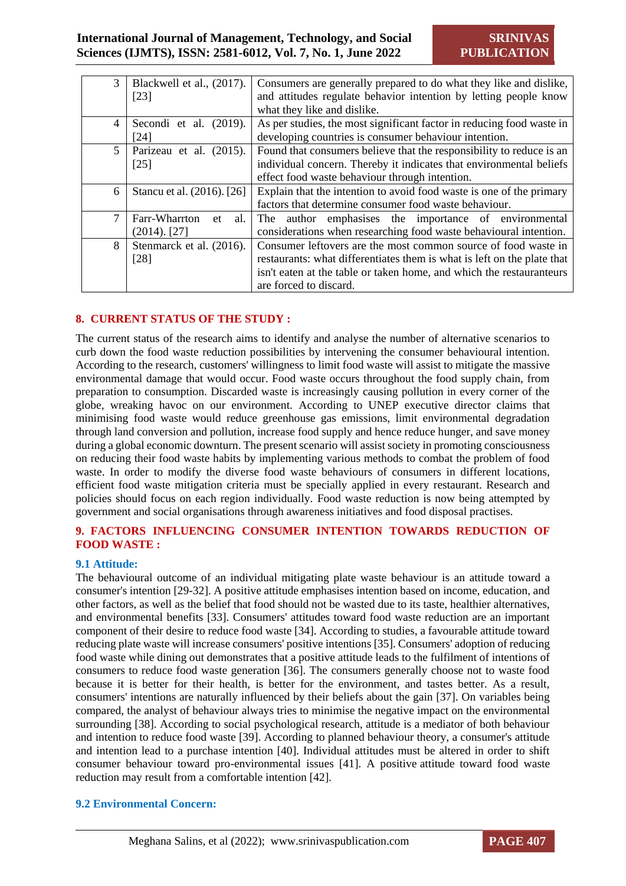| 3 | Blackwell et al., (2017).  | Consumers are generally prepared to do what they like and dislike,      |
|---|----------------------------|-------------------------------------------------------------------------|
|   | [23]                       | and attitudes regulate behavior intention by letting people know        |
|   |                            | what they like and dislike.                                             |
| 4 | Secondi et al. (2019).     | As per studies, the most significant factor in reducing food waste in   |
|   | [24]                       | developing countries is consumer behaviour intention.                   |
| 5 | Parizeau et al. (2015).    | Found that consumers believe that the responsibility to reduce is an    |
|   | $[25]$                     | individual concern. Thereby it indicates that environmental beliefs     |
|   |                            | effect food waste behaviour through intention.                          |
| 6 | Stancu et al. (2016). [26] | Explain that the intention to avoid food waste is one of the primary    |
|   |                            | factors that determine consumer food waste behaviour.                   |
| 7 | Farr-Wharrton<br>al.<br>et | The author emphasises the importance of environmental                   |
|   | $(2014)$ . [27]            | considerations when researching food waste behavioural intention.       |
| 8 | Stenmarck et al. (2016).   | Consumer leftovers are the most common source of food waste in          |
|   | [28]                       | restaurants: what differentiates them is what is left on the plate that |
|   |                            | isn't eaten at the table or taken home, and which the restauranteurs    |
|   |                            | are forced to discard.                                                  |

#### **8. CURRENT STATUS OF THE STUDY :**

The current status of the research aims to identify and analyse the number of alternative scenarios to curb down the food waste reduction possibilities by intervening the consumer behavioural intention. According to the research, customers' willingness to limit food waste will assist to mitigate the massive environmental damage that would occur. Food waste occurs throughout the food supply chain, from preparation to consumption. Discarded waste is increasingly causing pollution in every corner of the globe, wreaking havoc on our environment. According to UNEP executive director claims that minimising food waste would reduce greenhouse gas emissions, limit environmental degradation through land conversion and pollution, increase food supply and hence reduce hunger, and save money during a global economic downturn. The present scenario will assist society in promoting consciousness on reducing their food waste habits by implementing various methods to combat the problem of food waste. In order to modify the diverse food waste behaviours of consumers in different locations, efficient food waste mitigation criteria must be specially applied in every restaurant. Research and policies should focus on each region individually. Food waste reduction is now being attempted by government and social organisations through awareness initiatives and food disposal practises.

#### **9. FACTORS INFLUENCING CONSUMER INTENTION TOWARDS REDUCTION OF FOOD WASTE :**

#### **9.1 Attitude:**

The behavioural outcome of an individual mitigating plate waste behaviour is an attitude toward a consumer's intention [29-32]. A positive attitude emphasises intention based on income, education, and other factors, as well as the belief that food should not be wasted due to its taste, healthier alternatives, and environmental benefits [33]. Consumers' attitudes toward food waste reduction are an important component of their desire to reduce food waste [34]. According to studies, a favourable attitude toward reducing plate waste will increase consumers' positive intentions [35]. Consumers' adoption of reducing food waste while dining out demonstrates that a positive attitude leads to the fulfilment of intentions of consumers to reduce food waste generation [36]. The consumers generally choose not to waste food because it is better for their health, is better for the environment, and tastes better. As a result, consumers' intentions are naturally influenced by their beliefs about the gain [37]. On variables being compared, the analyst of behaviour always tries to minimise the negative impact on the environmental surrounding [38]. According to social psychological research, attitude is a mediator of both behaviour and intention to reduce food waste [39]. According to planned behaviour theory, a consumer's attitude and intention lead to a purchase intention [40]. Individual attitudes must be altered in order to shift consumer behaviour toward pro-environmental issues [41]. A positive attitude toward food waste reduction may result from a comfortable intention [42].

#### **9.2 Environmental Concern:**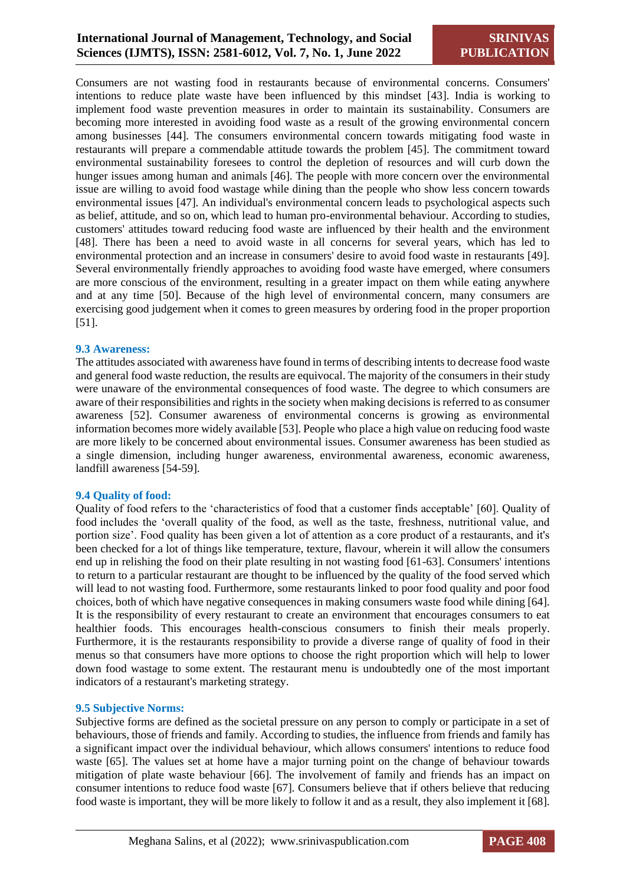Consumers are not wasting food in restaurants because of environmental concerns. Consumers' intentions to reduce plate waste have been influenced by this mindset [43]. India is working to implement food waste prevention measures in order to maintain its sustainability. Consumers are becoming more interested in avoiding food waste as a result of the growing environmental concern among businesses [44]. The consumers environmental concern towards mitigating food waste in restaurants will prepare a commendable attitude towards the problem [45]. The commitment toward environmental sustainability foresees to control the depletion of resources and will curb down the hunger issues among human and animals [46]. The people with more concern over the environmental issue are willing to avoid food wastage while dining than the people who show less concern towards environmental issues [47]. An individual's environmental concern leads to psychological aspects such as belief, attitude, and so on, which lead to human pro-environmental behaviour. According to studies, customers' attitudes toward reducing food waste are influenced by their health and the environment [48]. There has been a need to avoid waste in all concerns for several years, which has led to environmental protection and an increase in consumers' desire to avoid food waste in restaurants [49]. Several environmentally friendly approaches to avoiding food waste have emerged, where consumers are more conscious of the environment, resulting in a greater impact on them while eating anywhere and at any time [50]. Because of the high level of environmental concern, many consumers are exercising good judgement when it comes to green measures by ordering food in the proper proportion [51].

#### **9.3 Awareness:**

The attitudes associated with awareness have found in terms of describing intents to decrease food waste and general food waste reduction, the results are equivocal. The majority of the consumers in their study were unaware of the environmental consequences of food waste. The degree to which consumers are aware of their responsibilities and rights in the society when making decisions is referred to as consumer awareness [52]. Consumer awareness of environmental concerns is growing as environmental information becomes more widely available [53]. People who place a high value on reducing food waste are more likely to be concerned about environmental issues. Consumer awareness has been studied as a single dimension, including hunger awareness, environmental awareness, economic awareness, landfill awareness [54-59].

#### **9.4 Quality of food:**

Quality of food refers to the 'characteristics of food that a customer finds acceptable' [60]. Quality of food includes the 'overall quality of the food, as well as the taste, freshness, nutritional value, and portion size'. Food quality has been given a lot of attention as a core product of a restaurants, and it's been checked for a lot of things like temperature, texture, flavour, wherein it will allow the consumers end up in relishing the food on their plate resulting in not wasting food [61-63]. Consumers' intentions to return to a particular restaurant are thought to be influenced by the quality of the food served which will lead to not wasting food. Furthermore, some restaurants linked to poor food quality and poor food choices, both of which have negative consequences in making consumers waste food while dining [64]. It is the responsibility of every restaurant to create an environment that encourages consumers to eat healthier foods. This encourages health-conscious consumers to finish their meals properly. Furthermore, it is the restaurants responsibility to provide a diverse range of quality of food in their menus so that consumers have more options to choose the right proportion which will help to lower down food wastage to some extent. The restaurant menu is undoubtedly one of the most important indicators of a restaurant's marketing strategy.

#### **9.5 Subjective Norms:**

Subjective forms are defined as the societal pressure on any person to comply or participate in a set of behaviours, those of friends and family. According to studies, the influence from friends and family has a significant impact over the individual behaviour, which allows consumers' intentions to reduce food waste [65]. The values set at home have a major turning point on the change of behaviour towards mitigation of plate waste behaviour [66]. The involvement of family and friends has an impact on consumer intentions to reduce food waste [67]. Consumers believe that if others believe that reducing food waste is important, they will be more likely to follow it and as a result, they also implement it [68].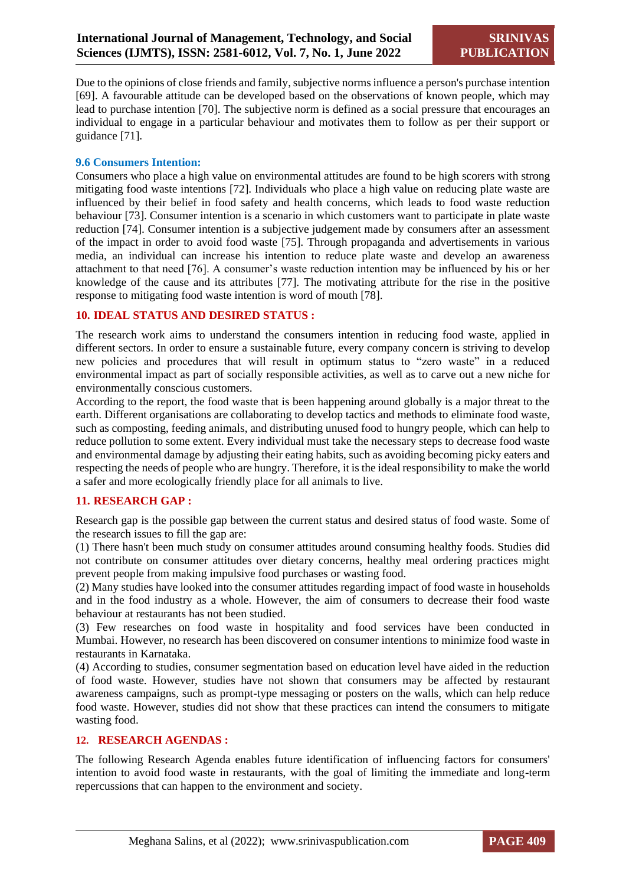Due to the opinions of close friends and family, subjective norms influence a person's purchase intention [69]. A favourable attitude can be developed based on the observations of known people, which may lead to purchase intention [70]. The subjective norm is defined as a social pressure that encourages an individual to engage in a particular behaviour and motivates them to follow as per their support or guidance [71].

#### **9.6 Consumers Intention:**

Consumers who place a high value on environmental attitudes are found to be high scorers with strong mitigating food waste intentions [72]. Individuals who place a high value on reducing plate waste are influenced by their belief in food safety and health concerns, which leads to food waste reduction behaviour [73]. Consumer intention is a scenario in which customers want to participate in plate waste reduction [74]. Consumer intention is a subjective judgement made by consumers after an assessment of the impact in order to avoid food waste [75]. Through propaganda and advertisements in various media, an individual can increase his intention to reduce plate waste and develop an awareness attachment to that need [76]. A consumer's waste reduction intention may be influenced by his or her knowledge of the cause and its attributes [77]. The motivating attribute for the rise in the positive response to mitigating food waste intention is word of mouth [78].

#### **10. IDEAL STATUS AND DESIRED STATUS :**

The research work aims to understand the consumers intention in reducing food waste, applied in different sectors. In order to ensure a sustainable future, every company concern is striving to develop new policies and procedures that will result in optimum status to "zero waste" in a reduced environmental impact as part of socially responsible activities, as well as to carve out a new niche for environmentally conscious customers.

According to the report, the food waste that is been happening around globally is a major threat to the earth. Different organisations are collaborating to develop tactics and methods to eliminate food waste, such as composting, feeding animals, and distributing unused food to hungry people, which can help to reduce pollution to some extent. Every individual must take the necessary steps to decrease food waste and environmental damage by adjusting their eating habits, such as avoiding becoming picky eaters and respecting the needs of people who are hungry. Therefore, it is the ideal responsibility to make the world a safer and more ecologically friendly place for all animals to live.

## **11. RESEARCH GAP :**

Research gap is the possible gap between the current status and desired status of food waste. Some of the research issues to fill the gap are:

(1) There hasn't been much study on consumer attitudes around consuming healthy foods. Studies did not contribute on consumer attitudes over dietary concerns, healthy meal ordering practices might prevent people from making impulsive food purchases or wasting food.

(2) Many studies have looked into the consumer attitudes regarding impact of food waste in households and in the food industry as a whole. However, the aim of consumers to decrease their food waste behaviour at restaurants has not been studied.

(3) Few researches on food waste in hospitality and food services have been conducted in Mumbai. However, no research has been discovered on consumer intentions to minimize food waste in restaurants in Karnataka.

(4) According to studies, consumer segmentation based on education level have aided in the reduction of food waste. However, studies have not shown that consumers may be affected by restaurant awareness campaigns, such as prompt-type messaging or posters on the walls, which can help reduce food waste. However, studies did not show that these practices can intend the consumers to mitigate wasting food.

#### **12. RESEARCH AGENDAS :**

The following Research Agenda enables future identification of influencing factors for consumers' intention to avoid food waste in restaurants, with the goal of limiting the immediate and long-term repercussions that can happen to the environment and society.

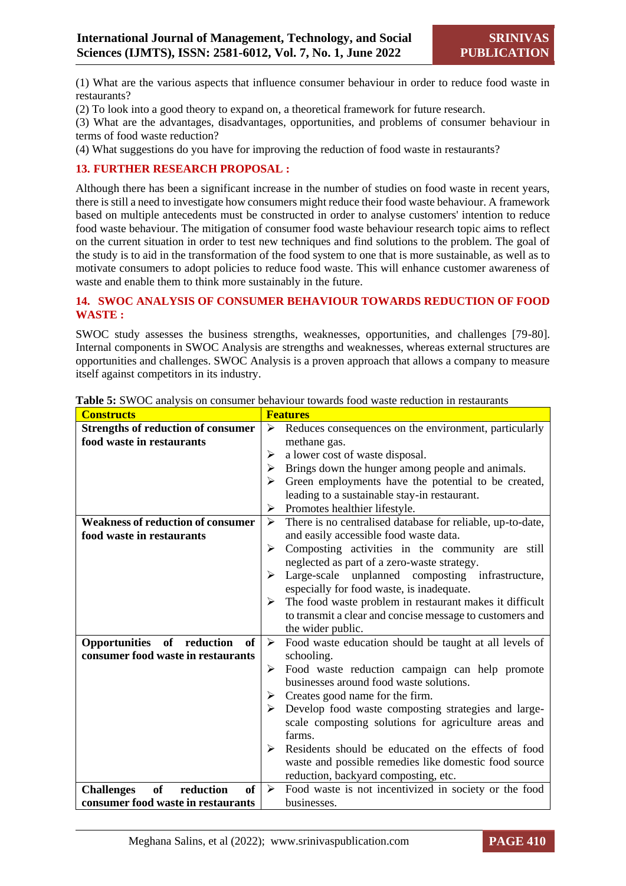(1) What are the various aspects that influence consumer behaviour in order to reduce food waste in restaurants?

(2) To look into a good theory to expand on, a theoretical framework for future research.

(3) What are the advantages, disadvantages, opportunities, and problems of consumer behaviour in terms of food waste reduction?

(4) What suggestions do you have for improving the reduction of food waste in restaurants?

## **13. FURTHER RESEARCH PROPOSAL :**

Although there has been a significant increase in the number of studies on food waste in recent years, there is still a need to investigate how consumers might reduce their food waste behaviour. A framework based on multiple antecedents must be constructed in order to analyse customers' intention to reduce food waste behaviour. The mitigation of consumer food waste behaviour research topic aims to reflect on the current situation in order to test new techniques and find solutions to the problem. The goal of the study is to aid in the transformation of the food system to one that is more sustainable, as well as to motivate consumers to adopt policies to reduce food waste. This will enhance customer awareness of waste and enable them to think more sustainably in the future.

#### **14. SWOC ANALYSIS OF CONSUMER BEHAVIOUR TOWARDS REDUCTION OF FOOD WASTE :**

SWOC study assesses the business strengths, weaknesses, opportunities, and challenges [79-80]. Internal components in SWOC Analysis are strengths and weaknesses, whereas external structures are opportunities and challenges. SWOC Analysis is a proven approach that allows a company to measure itself against competitors in its industry.

| <b>Constructs</b>                                        | <b>Features</b>                                                                     |
|----------------------------------------------------------|-------------------------------------------------------------------------------------|
| <b>Strengths of reduction of consumer</b>                | ➤<br>Reduces consequences on the environment, particularly                          |
| food waste in restaurants                                | methane gas.                                                                        |
|                                                          | a lower cost of waste disposal.<br>≻                                                |
|                                                          | Brings down the hunger among people and animals.<br>➤                               |
|                                                          | Green employments have the potential to be created,<br>≻                            |
|                                                          | leading to a sustainable stay-in restaurant.                                        |
|                                                          | Promotes healthier lifestyle.<br>➤                                                  |
| <b>Weakness of reduction of consumer</b>                 | There is no centralised database for reliable, up-to-date,<br>$\blacktriangleright$ |
| food waste in restaurants                                | and easily accessible food waste data.                                              |
|                                                          | Composting activities in the community are still<br>➤                               |
|                                                          | neglected as part of a zero-waste strategy.                                         |
|                                                          | Large-scale unplanned composting infrastructure,                                    |
|                                                          | especially for food waste, is inadequate.                                           |
|                                                          | The food waste problem in restaurant makes it difficult<br>➤                        |
|                                                          | to transmit a clear and concise message to customers and                            |
|                                                          | the wider public.                                                                   |
| of<br>of<br>Opportunities<br>reduction                   | Food waste education should be taught at all levels of<br>➤                         |
| consumer food waste in restaurants                       | schooling.                                                                          |
|                                                          | Food waste reduction campaign can help promote<br>➤                                 |
|                                                          | businesses around food waste solutions.                                             |
|                                                          | Creates good name for the firm.<br>➤                                                |
|                                                          | Develop food waste composting strategies and large-<br>≻                            |
|                                                          | scale composting solutions for agriculture areas and                                |
|                                                          | farms.                                                                              |
|                                                          | Residents should be educated on the effects of food<br>⋗                            |
|                                                          | waste and possible remedies like domestic food source                               |
|                                                          | reduction, backyard composting, etc.                                                |
| <b>of</b><br>reduction<br><b>of</b><br><b>Challenges</b> | Food waste is not incentivized in society or the food<br>➤                          |
| consumer food waste in restaurants                       | businesses.                                                                         |

**Table 5:** SWOC analysis on consumer behaviour towards food waste reduction in restaurants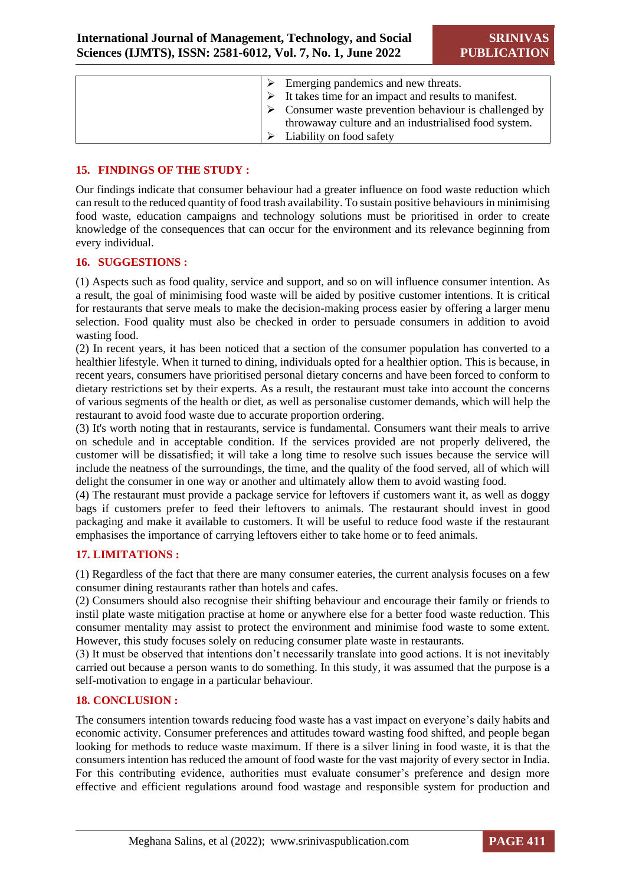| ➤ | Emerging pandemics and new threats.                                   |
|---|-----------------------------------------------------------------------|
|   |                                                                       |
|   | $\triangleright$ It takes time for an impact and results to manifest. |
|   | Consumer waste prevention behaviour is challenged by                  |
|   | throwaway culture and an industrialised food system.                  |
|   | Liability on food safety                                              |

#### **15. FINDINGS OF THE STUDY :**

Our findings indicate that consumer behaviour had a greater influence on food waste reduction which can result to the reduced quantity of food trash availability. To sustain positive behaviours in minimising food waste, education campaigns and technology solutions must be prioritised in order to create knowledge of the consequences that can occur for the environment and its relevance beginning from every individual.

#### **16. SUGGESTIONS :**

(1) Aspects such as food quality, service and support, and so on will influence consumer intention. As a result, the goal of minimising food waste will be aided by positive customer intentions. It is critical for restaurants that serve meals to make the decision-making process easier by offering a larger menu selection. Food quality must also be checked in order to persuade consumers in addition to avoid wasting food.

(2) In recent years, it has been noticed that a section of the consumer population has converted to a healthier lifestyle. When it turned to dining, individuals opted for a healthier option. This is because, in recent years, consumers have prioritised personal dietary concerns and have been forced to conform to dietary restrictions set by their experts. As a result, the restaurant must take into account the concerns of various segments of the health or diet, as well as personalise customer demands, which will help the restaurant to avoid food waste due to accurate proportion ordering.

(3) It's worth noting that in restaurants, service is fundamental. Consumers want their meals to arrive on schedule and in acceptable condition. If the services provided are not properly delivered, the customer will be dissatisfied; it will take a long time to resolve such issues because the service will include the neatness of the surroundings, the time, and the quality of the food served, all of which will delight the consumer in one way or another and ultimately allow them to avoid wasting food.

(4) The restaurant must provide a package service for leftovers if customers want it, as well as doggy bags if customers prefer to feed their leftovers to animals. The restaurant should invest in good packaging and make it available to customers. It will be useful to reduce food waste if the restaurant emphasises the importance of carrying leftovers either to take home or to feed animals.

## **17. LIMITATIONS :**

(1) Regardless of the fact that there are many consumer eateries, the current analysis focuses on a few consumer dining restaurants rather than hotels and cafes.

(2) Consumers should also recognise their shifting behaviour and encourage their family or friends to instil plate waste mitigation practise at home or anywhere else for a better food waste reduction. This consumer mentality may assist to protect the environment and minimise food waste to some extent. However, this study focuses solely on reducing consumer plate waste in restaurants.

(3) It must be observed that intentions don't necessarily translate into good actions. It is not inevitably carried out because a person wants to do something. In this study, it was assumed that the purpose is a self-motivation to engage in a particular behaviour.

#### **18. CONCLUSION :**

The consumers intention towards reducing food waste has a vast impact on everyone's daily habits and economic activity. Consumer preferences and attitudes toward wasting food shifted, and people began looking for methods to reduce waste maximum. If there is a silver lining in food waste, it is that the consumers intention has reduced the amount of food waste for the vast majority of every sector in India. For this contributing evidence, authorities must evaluate consumer's preference and design more effective and efficient regulations around food wastage and responsible system for production and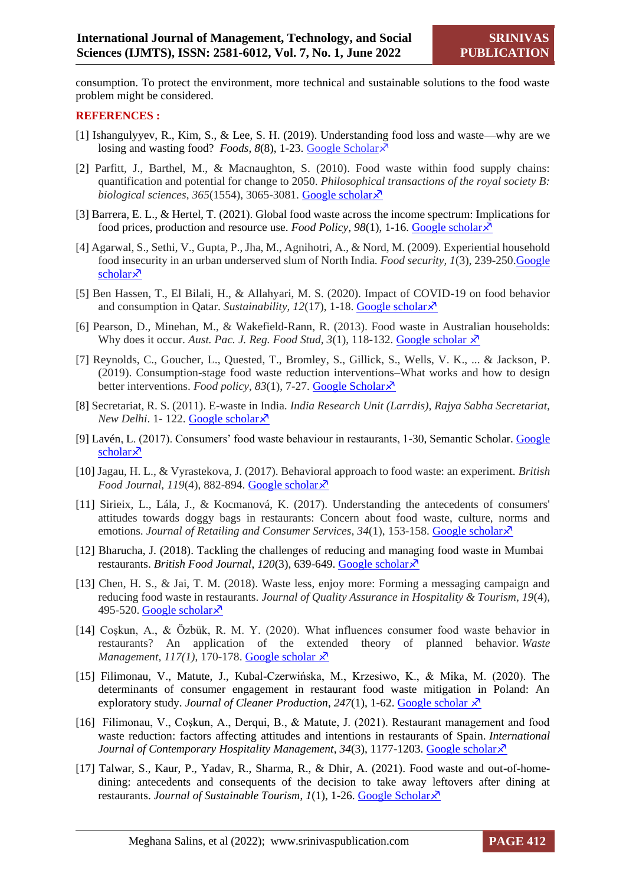consumption. To protect the environment, more technical and sustainable solutions to the food waste problem might be considered.

#### **REFERENCES :**

- [1] Ishangulyyev, R., Kim, S., & Lee, S. H. (2019). Understanding food loss and waste—why are we losing and wasting food? *Foods*, 8(8), 1-23. [Google Scholar](https://scholar.google.com/scholar?hl=en&as_sdt=0%2C5&q=Ishangulyyev%2C+R.%2C+Kim%2C+S.%2C+%26+Lee%2C+S.+H.+%282019%29.+Understanding+food+loss+and+waste—why+are+we+losing+and+wasting+food%3F.+Foods%2C+8%288%29%2C+297.&btnG=)  $\lambda$ <sup>7</sup>
- [2] Parfitt, J., Barthel, M., & Macnaughton, S. (2010). Food waste within food supply chains: quantification and potential for change to 2050. *Philosophical transactions of the royal society B: biological sciences, 365*(1554), 3065-3081. [Google scholar](https://scholar.google.com/scholar?hl=en&as_sdt=0%2C5&q=Parfitt%2C+J.%2C+Barthel%2C+M.%2C+%26+Macnaughton%2C+S.+%282010%29.+Food+waste+within+food+supply+chains%3A+quantification+and+potential+for+change+to+2050.+&btnG=) $\lambda$ <sup>7</sup>
- [3] Barrera, E. L., & Hertel, T. (2021). Global food waste across the income spectrum: Implications for food prices, production and resource use. *Food Policy*, *98*(1), 1-16[. Google scholar](https://scholar.google.com/scholar?hl=en&as_sdt=0%2C5&q=Barrera%2C+E.+L.%2C+%26+Hertel%2C+T.+%282021%29.+Global+food+waste+across+the+income+spectrum%3A+Implications+for+food+prices%2C+production+and+resource+use.+Food+Policy%2C+98%2C+101874.&btnG=)
- [4] Agarwal, S., Sethi, V., Gupta, P., Jha, M., Agnihotri, A., & Nord, M. (2009). Experiential household food insecurity in an urban underserved slum of North India. *Food security, 1*(3), 239-250[.Google](https://scholar.google.com/scholar?hl=en&as_sdt=0%2C5&q=Agarwal%2C+S.%2C+Sethi%2C+V.%2C+Gupta%2C+P.%2C+Jha%2C+M.%2C+Agnihotri%2C+A.%2C+%26+Nord%2C+M.+%282009%29.+Experiential+household+food+insecurity+in+an+urban+underserved+slum+of+North+India.+Food+security%2C+1%283%29%2C+239-250.&btnG=)  [scholar](https://scholar.google.com/scholar?hl=en&as_sdt=0%2C5&q=Agarwal%2C+S.%2C+Sethi%2C+V.%2C+Gupta%2C+P.%2C+Jha%2C+M.%2C+Agnihotri%2C+A.%2C+%26+Nord%2C+M.+%282009%29.+Experiential+household+food+insecurity+in+an+urban+underserved+slum+of+North+India.+Food+security%2C+1%283%29%2C+239-250.&btnG=) $\lambda$
- [5] Ben Hassen, T., El Bilali, H., & Allahyari, M. S. (2020). Impact of COVID-19 on food behavior and consumption in Oatar. *Sustainability, 12(17)*, 1-18. [Google scholar](https://scholar.google.com/scholar?hl=en&as_sdt=0%2C5&q=Ben+Hassen%2C+T.%2C+El+Bilali%2C+H.%2C+%26+Allahyari%2C+M.+S.+%282020%29.+Impact+of+COVID-19+on+food+behavior+and+consumption+in+Qatar.+Sustainability%2C+12%2817%29%2C+6973.&btnG=)  $\lambda$ <sup>7</sup>
- [6] Pearson, D., Minehan, M., & Wakefield-Rann, R. (2013). Food waste in Australian households: Why does it occur. *Aust. Pac. J. Reg. Food Stud, 3*(1), 118-132. [Google scholar](https://scholar.google.com/scholar?hl=en&as_sdt=0%2C5&q=Pearson%2C+D.%2C+Minehan%2C+M.%2C+%26+Wakefield-Rann%2C+R.+%282013%29.+Food+waste+in+Australian+households%3A+Why+does+it+occur.+Aust.+Pac.+J.+Reg.+Food+Stud%2C+3%2C+118-132.&btnG=)  $\lambda^2$
- [7] Reynolds, C., Goucher, L., Quested, T., Bromley, S., Gillick, S., Wells, V. K., ... & Jackson, P. (2019). Consumption-stage food waste reduction interventions–What works and how to design better interventions. *Food policy*, 83(1), 7-27. [Google Scholar](https://scholar.google.com/scholar?hl=en&as_sdt=0%2C5&q=Reynolds%2C+C.%2C+Goucher%2C+L.%2C+Quested%2C+T.%2C+Bromley%2C+S.%2C+Gillick%2C+S.%2C+Wells%2C+V.+K.%2C+...+%26+Jackson%2C+P.+%282019%29.+Consumption-stage+food+waste+reduction+interventions–What+works+and+how+to+design+better+interventions.+Food+policy%2C+83%2C+7-27.&btnG=)  $\lambda$ <sup>7</sup>
- [8] Secretariat, R. S. (2011). E-waste in India. *India Research Unit (Larrdis), Rajya Sabha Secretariat, New Delhi.* 1-122. [Google scholar](https://greene.gov.in/wp-content/uploads/2018/01/e-waste_in_india-Document.pdf)  $\lambda$ <sup>7</sup>
- [9] Lavén, L. (2017). Consumers' food waste behaviour in restaurants, 1-30, Semantic Scholar. [Google](https://scholar.google.com/scholar?hl=en&as_sdt=0%2C5&q=Lavén%2C+L.+%282017%29.+Consumers’+food+waste+behaviour+in+restaurants.&btnG=)  [scholar](https://scholar.google.com/scholar?hl=en&as_sdt=0%2C5&q=Lavén%2C+L.+%282017%29.+Consumers’+food+waste+behaviour+in+restaurants.&btnG=) $\lambda$
- [10] Jagau, H. L., & Vyrastekova, J. (2017). Behavioral approach to food waste: an experiment. *British Food Journal*, *119*(4), 882-894. [Google scholar](https://scholar.google.com/scholar?hl=en&as_sdt=0%2C5&q=Jagau%2C+H.+L.%2C+%26+Vyrastekova%2C+J.+%282017%29.+Behavioral+approach+to+food+waste%3A+an+experiment.+British+Food+Journal.&btnG=)  $\lambda$
- [11] Sirieix, L., Lála, J., & Kocmanová, K. (2017). Understanding the antecedents of consumers' attitudes towards doggy bags in restaurants: Concern about food waste, culture, norms and emotions. *Journal of Retailing and Consumer Services*, *34*(1), 153-158. [Google scholar](https://scholar.google.com/scholar?hl=en&as_sdt=0%2C5&q=Sirieix%2C+L.%2C+Lála%2C+J.%2C+%26+Kocmanová%2C+K.+%282017%29.+Understanding+the+antecedents+of+consumers%27+attitudes+towards+doggy+bags+in+restaurants%3A+Concern+about+food+waste%2C+culture%2C+norms+and+emotions.+Journal+of+Retailing+and+Consumer+Services%2C+34%2C+153-158.&btnG=)
- [12] Bharucha, J. (2018). Tackling the challenges of reducing and managing food waste in Mumbai restaurants. *British Food Journal*, *120*(3), 639-649. [Google scholar](https://scholar.google.com/scholar?hl=en&as_sdt=0%2C5&q=Bharucha%2C+J.+%282018%29.+Tackling+the+challenges+of+reducing+and+managing+food+waste+in+Mumbai++++++++restaurants.+British+Food+Journal.&btnG=)
- [13] Chen, H. S., & Jai, T. M. (2018). Waste less, enjoy more: Forming a messaging campaign and reducing food waste in restaurants. *Journal of Quality Assurance in Hospitality & Tourism*, *19*(4), 495-520. [Google scholar](https://scholar.google.com/scholar?hl=en&as_sdt=0%2C5&q=Chen%2C+H.+S.%2C+%26+Jai%2C+T.+M.+%282018%29.+Waste+less%2C+enjoy+more%3A+Forming+a+messaging+campaign+and+reducing+food+waste+in+restaurants.+Journal+of+Quality+Assurance+in+Hospitality+%26+Tourism%2C+19%284%29%2C+495-520.&btnG=) $\lambda$
- [14] Coşkun, A., & Özbük, R. M. Y. (2020). What influences consumer food waste behavior in restaurants? An application of the extended theory of planned behavior. *Waste Management*, *117(1)*, 170-178. [Google scholar](https://scholar.google.com/scholar?hl=en&as_sdt=0%2C5&q=Coşkun%2C+A.%2C+%26+Özbük%2C+R.+M.+Y.+%282020%29.+What+influences+consumer+food+waste+behavior+in+restaurants%3F+An+application+of+the+extended+theory+of+planned+behavior.+Waste+Management%2C+117%2C+170-178.&btnG=)  $\lambda$ <sup>7</sup>
- [15] Filimonau, V., Matute, J., Kubal-Czerwińska, M., Krzesiwo, K., & Mika, M. (2020). The determinants of consumer engagement in restaurant food waste mitigation in Poland: An exploratory study. *Journal of Cleaner Production*,  $247(1)$ , 1-62. [Google scholar](https://scholar.google.com/scholar?hl=en&as_sdt=0%2C5&q=Filimonau%2C+V.%2C+Matute%2C+J.%2C+Kubal-Czerwińska%2C+M.%2C+Krzesiwo%2C+K.%2C+%26+Mika%2C+M.+%282020%29.+The+determinants+of+consumer+engagement+in+restaurant+food+waste+mitigation+in+Poland%3A+An+exploratory+study.+Journal+of+Cleaner+Production%2C+247%2C+119105.&btnG=)  $\overline{X}$
- [16] Filimonau, V., Coşkun, A., Derqui, B., & Matute, J. (2021). Restaurant management and food waste reduction: factors affecting attitudes and intentions in restaurants of Spain. *International Journal of Contemporary Hospitality Management*, 34(3), 1177-1203. [Google scholar](https://scholar.google.com/scholar?hl=en&as_sdt=0%2C5&q=Filimonau%2C+V.%2C+Coşkun%2C+A.%2C+Derqui%2C+B.%2C+%26+Matute%2C+J.+%282021%29.+Restaurant+management+and+food+waste+reduction%3A+factors+affecting+attitudes+and+intentions+in+restaurants+of+Spain.+International+Journal+of+Contemporary+Hospitality+Management.&btnG=)x<sup>7</sup>
- [17] Talwar, S., Kaur, P., Yadav, R., Sharma, R., & Dhir, A. (2021). Food waste and out-of-homedining: antecedents and consequents of the decision to take away leftovers after dining at restaurants. *Journal of Sustainable Tourism*, *1*(1), 1-26. [Google Scholar](https://scholar.google.com/scholar?hl=en&as_sdt=0%2C5&q=Talwar%2C+S.%2C+Kaur%2C+P.%2C+Yadav%2C+R.%2C+Sharma%2C+R.%2C+%26+Dhir%2C+A.+%282021%29.+Food+waste+and+out-of-home-+++++++dining%3A+antecedents+and+consequents+of+the+decision+to+take+away+leftovers+after+dining+at+restaurants.+Journal+of+Sustainable+Tourism%2C+1-26.&btnG=)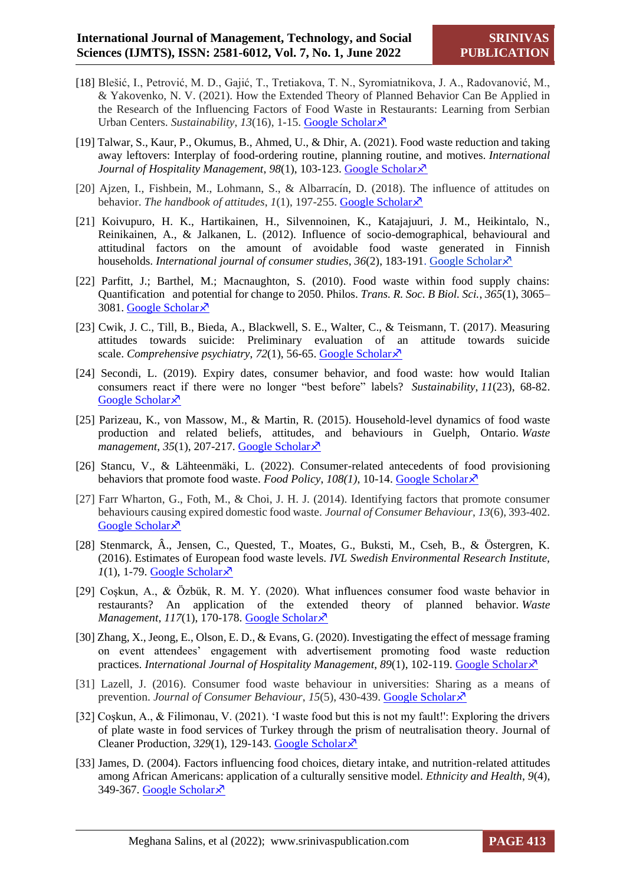- [18] Blešić, I., Petrović, M. D., Gajić, T., Tretiakova, T. N., Syromiatnikova, J. A., Radovanović, M., & Yakovenko, N. V. (2021). How the Extended Theory of Planned Behavior Can Be Applied in the Research of the Influencing Factors of Food Waste in Restaurants: Learning from Serbian Urban Centers. *Sustainability*, *13*(16), 1-15. [Google Scholar](https://scholar.google.com/scholar?hl=en&as_sdt=0%2C5&q=Blešić%2C+I.%2C+Petrović%2C+M.+D.%2C+Gajić%2C+T.%2C+Tretiakova%2C+T.+N.%2C+Syromiatnikova%2C+J.+A.%2C+Radovanović%2C+M.%2C+.++%26+Yakovenko%2C+N.+V.+%282021%29.+How+the+Extended+Theory+of+Planned+Behavior+Can+Be+Applied+in+the+Research+of+the+Influencing+Factors+of+Food+Waste+in+Restaurants%3A+Learning+from+Serbian+Urban+Centers.+Sustainability%2C+13%2816%29%2C+9236.&btnG=)
- [19] Talwar, S., Kaur, P., Okumus, B., Ahmed, U., & Dhir, A. (2021). Food waste reduction and taking away leftovers: Interplay of food-ordering routine, planning routine, and motives. *International Journal of Hospitality Management*, 98(1), 103-123. [Google Scholar](https://scholar.google.com/scholar?hl=en&as_sdt=0%2C5&q=Talwar%2C+S.%2C+Kaur%2C+P.%2C+Okumus%2C+B.%2C+Ahmed%2C+U.%2C+%26+Dhir%2C+A.+%282021%29.+Food+waste+reduction+and+taking+away+leftovers%3A+Interplay+of+food-ordering+routine%2C+planning+routine%2C+and+motives.+International+Journal+of+Hospitality+Management%2C+98%2C+103033.&btnG=)  $\lambda$ <sup>7</sup>
- [20] Ajzen, I., Fishbein, M., Lohmann, S., & Albarracín, D. (2018). The influence of attitudes on behavior. *The handbook of attitudes*, *1*(1), 197-255. [Google Scholar](https://scholar.google.com/scholar?hl=en&as_sdt=0%2C5&q=Ajzen%2C+I.%2C+Fishbein%2C+M.%2C+Lohmann%2C+S.%2C+%26+Albarracín%2C+D.+%282018%29.+The+influence+of+attitudes+on+behavior.+The+handbook+of+attitudes%2C+1%281%29%2C+197-255.&btnG=)  $\lambda$
- [21] Koivupuro, H. K., Hartikainen, H., Silvennoinen, K., Katajajuuri, J. M., Heikintalo, N., Reinikainen, A., & Jalkanen, L. (2012). Influence of socio-demographical, behavioural and attitudinal factors on the amount of avoidable food waste generated in Finnish households. *International journal of consumer studies*, 36(2), 183-191. [Google Scholar](https://scholar.google.com/scholar?hl=en&as_sdt=0%2C5&q=Koivupuro%2C+H.+K.%2C+Hartikainen%2C+H.%2C+Silvennoinen%2C+K.%2C+Katajajuuri%2C+J.+M.%2C+Heikintalo%2C+N.%2C+Reinikainen%2C+A.%2C+%26+Jalkanen%2C+L.+%282012%29.+Influence+of+socio‐demographical%2C+behavioural+and+attitudinal+factors+on+the+amount+of+avoidable+food+waste+generated+in+Finnish+households.+International+journal+of+consumer+studies%2C+36%282%29%2C+183-191.&btnG=)  $\lambda$ <sup>7</sup>
- [22] Parfitt, J.; Barthel, M.; Macnaughton, S. (2010). Food waste within food supply chains: Quantification and potential for change to 2050. Philos. *Trans. R. Soc. B Biol. Sci.*, *365*(1), 3065– 3081. [Google Scholar](https://scholar.google.com/scholar?hl=en&as_sdt=0%2C5&q=Parfitt%2C+J.%3B+Barthel%2C+M.%3B+Macnaughton%2C+S.+Food+waste+within+food+supply+chains%3A+Quantification+++and+potential+for+change+to+2050.+Philos.+Trans.+R.+Soc.+B+Biol.+Sci.+2010%2C+365%2C+3065–3081.&btnG=) ×
- [23] Cwik, J. C., Till, B., Bieda, A., Blackwell, S. E., Walter, C., & Teismann, T. (2017). Measuring attitudes towards suicide: Preliminary evaluation of an attitude towards suicide scale. *Comprehensive psychiatry*, 72(1), 56-65. [Google Scholar](https://scholar.google.com/scholar?hl=en&as_sdt=0%2C5&q=Cwik%2C+J.+C.%2C+Till%2C+B.%2C+Bieda%2C+A.%2C+Blackwell%2C+S.+E.%2C+Walter%2C+C.%2C+%26+Teismann%2C+T.+%282017%29.+Measuring+attitudes+towards+suicide%3A+Preliminary+evaluation+of+an+attitude+towards+suicide+scale.+Comprehensive+psychiatry%2C+72%2C+56-65.&btnG=)  $\lambda$
- [24] Secondi, L. (2019). Expiry dates, consumer behavior, and food waste: how would Italian consumers react if there were no longer "best before" labels? *Sustainability*, *11*(23), 68-82. [Google Scholar](https://scholar.google.com/scholar?hl=en&as_sdt=0%2C5&q=Secondi%2C+L.+%282019%29.+Expiry+dates%2C+consumer+behavior%2C+and+food+waste%3A+how+would+Italian+consumers+react+if+there+were+no+longer+) ×
- [25] Parizeau, K., von Massow, M., & Martin, R. (2015). Household-level dynamics of food waste production and related beliefs, attitudes, and behaviours in Guelph, Ontario. *Waste*  management, 35(1), 207-217. [Google Scholar](https://scholar.google.com/scholar?hl=en&as_sdt=0%2C5&q=Parizeau%2C+K.%2C+von+Massow%2C+M.%2C+%26+Martin%2C+R.+%282015%29.+Household-level+dynamics+of+food+waste+production+and+related+beliefs%2C+attitudes%2C+and+behaviours+in+Guelph%2C+Ontario.+Waste+management%2C+35%2C+207-217.&btnG=)<sup>x</sup>
- [26] Stancu, V., & Lähteenmäki, L. (2022). Consumer-related antecedents of food provisioning behaviors that promote food waste. *Food Policy*, *108(1)*, 10-14. [Google Scholar](https://scholar.google.com/scholar?hl=en&as_sdt=0%2C5&q=Stancu%2C+V.%2C+%26+Lähteenmäki%2C+L.+%282022%29.+Consumer-related+antecedents+of+food+provisioning+behaviors+that+promote+food+waste.+Food+Policy%2C+108%2C+102236.&btnG=)
- [27] Farr Wharton, G., Foth, M., & Choi, J. H. J. (2014). Identifying factors that promote consumer behaviours causing expired domestic food waste. *Journal of Consumer Behaviour*, *13*(6), 393-402. [Google Scholar](https://scholar.google.com/scholar?hl=en&as_sdt=0%2C5&q=Farr‐Wharton%2C+G.%2C+Foth%2C+M.%2C+%26+Choi%2C+J.+H.+J.+%282014%29.+Identifying+factors+that+promote+consumer+behaviours+causing+expired+domestic+food+waste.+Journal+of+Consumer+Behaviour%2C+13%286%29%2C+393-402.&btnG=) ×
- [28] Stenmarck, Â., Jensen, C., Quested, T., Moates, G., Buksti, M., Cseh, B., & Östergren, K. (2016). Estimates of European food waste levels. *IVL Swedish Environmental Research Institute,*   $1(1)$ , 1-79. [Google Scholar](https://scholar.google.com/scholar?hl=en&as_sdt=0%2C5&q=Stenmarck%2C+Â.%2C+Jensen%2C+C.%2C+Quested%2C+T.%2C+Moates%2C+G.%2C+Buksti%2C+M.%2C+Cseh%2C+B.%2C+%26+Östergren%2C+K.+%282016%29.+Estimates+of+European+food+waste+levels.+IVL+Swedish+Environmental+Research+Institute.&btnG=) $\lambda$
- [29] Coşkun, A., & Özbük, R. M. Y. (2020). What influences consumer food waste behavior in restaurants? An application of the extended theory of planned behavior. *Waste Management*, *117*(1), 170-178. [Google Scholar](https://scholar.google.com/scholar?hl=en&as_sdt=0%2C5&q=Coşkun%2C+A.%2C+%26+Özbük%2C+R.+M.+Y.+%282020%29.+What+influences+consumer+food+waste+behavior+in+restaurants%3F+An+application+of+the+extended+theory+of+planned+behavior.+Waste+Management%2C+117%2C+170-178.&btnG=)  $\lambda$
- [30] Zhang, X., Jeong, E., Olson, E. D., & Evans, G. (2020). Investigating the effect of message framing on event attendees' engagement with advertisement promoting food waste reduction practices. *International Journal of Hospitality Management*, *89*(1), 102-119. [Google Scholar](https://scholar.google.com/scholar?hl=en&as_sdt=0%2C5&q=Zhang%2C+X.%2C+Jeong%2C+E.%2C+Olson%2C+E.+D.%2C+%26+Evans%2C+G.+%282020%29.+Investigating+the+effect+of+message+framing+on+event+attendees’+engagement+with+advertisement+promoting+food+waste+reduction+practices.+International+Journal+of+Hospitality+Management%2C+89%2C+102589.&btnG=)
- [31] Lazell, J. (2016). Consumer food waste behaviour in universities: Sharing as a means of prevention. *Journal of Consumer Behaviour*, *15*(5), 430-439. [Google Scholar](https://scholar.google.com/scholar?hl=en&as_sdt=0%2C5&q=Lazell%2C+J.+%282016%29.+Consumer+food+waste+behaviour+in+universities%3A+Sharing+as+a+means+of+prevention.+Journal+of+Consumer+Behaviour%2C+15%285%29%2C+430-439.&btnG=)
- [32] Coşkun, A., & Filimonau, V. (2021). 'I waste food but this is not my fault!': Exploring the drivers of plate waste in food services of Turkey through the prism of neutralisation theory. Journal of Cleaner Production, 329(1), 129-143. [Google Scholar](https://scholar.google.com/scholar?hl=en&as_sdt=0%2C5&q=Coşkun%2C+A.%2C+%26+Filimonau%2C+V.+%282021%29.+‘I+waste+food+but+this+is+not+my+fault%21%27%3A+Exploring+the+drivers+of+plate+waste+in+foodservices+of+Turkey+through+the+prism+of+neutralisation+theory.+Journal+of+Cleaner+Production%2C+329%2C+129695.&btnG=)<sup> $\overline{X}$ </sup>
- [33] James, D. (2004). Factors influencing food choices, dietary intake, and nutrition-related attitudes among African Americans: application of a culturally sensitive model. *Ethnicity and Health*, *9*(4), 349-367. [Google Scholar](https://scholar.google.com/scholar?hl=en&as_sdt=0%2C5&q=James%2C+D.+%282004%29.+Factors+influencing+food+choices%2C+dietary+intake%2C+and+nutrition-related+attitudes+among+African+Americans%3A+application+of+a+culturally+sensitive+model.+Ethnicity+and+Health%2C+9%284%29%2C+349-367.&btnG=) ×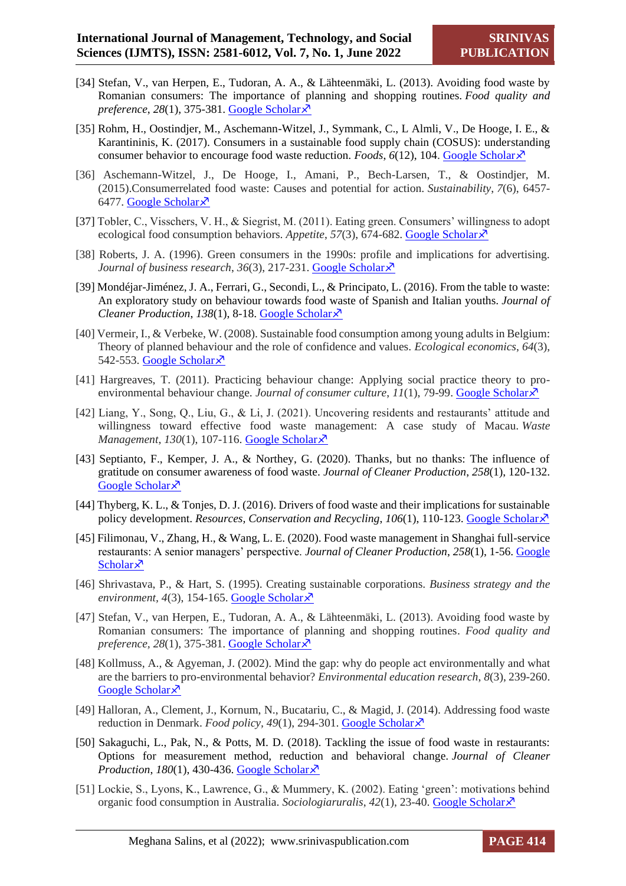- [34] Stefan, V., van Herpen, E., Tudoran, A. A., & Lähteenmäki, L. (2013). Avoiding food waste by Romanian consumers: The importance of planning and shopping routines. *Food quality and preference*, *28*(1), 375-381. [Google Scholar](https://scholar.google.com/scholar?hl=en&as_sdt=0%2C5&q=Stefan%2C+V.%2C+van+Herpen%2C+E.%2C+Tudoran%2C+A.+A.%2C+%26+Lähteenmäki%2C+L.+%282013%29.+Avoiding+food+waste+by+Romanian+consumers%3A+The+importance+of+planning+and+shopping+routines.+Food+quality+and+preference%2C+28%281%29%2C+375-381.&btnG=)
- [35] Rohm, H., Oostindjer, M., Aschemann-Witzel, J., Symmank, C., L Almli, V., De Hooge, I. E., & Karantininis, K. (2017). Consumers in a sustainable food supply chain (COSUS): understanding consumer behavior to encourage food waste reduction. *Foods*, 6(12), 104. [Google Scholar](https://scholar.google.com/scholar?hl=en&as_sdt=0%2C5&q=Rohm%2C+H.%2C+Oostindjer%2C+M.%2C+Aschemann-Witzel%2C+J.%2C+Symmank%2C+C.%2C+L+Almli%2C+V.%2C+De+Hooge%2C+I.+E.%2C+...+%26+Karantininis%2C+K.+%282017%29.+Consumers+in+a+sustainable+food+supply+chain+%28COSUS%29%3A+understanding+consumer+behavior+to+encourage+food+waste+reduction.+Foods%2C+6%2812%29%2C+104.&btnG=) $\lambda$ <sup>7</sup>
- [36] Aschemann-Witzel, J., De Hooge, I., Amani, P., Bech-Larsen, T., & Oostindjer, M. (2015).Consumerrelated food waste: Causes and potential for action. *Sustainability*, *7*(6), 6457- 6477. [Google Scholar](https://scholar.google.com/scholar?q=Aschemann-Witzel,+J.,+De+Hooge,+I.,+Amani,+P.,+Bech-Larsen,+T.,+%26+Oostindjer,+M.+(2015).++++Consumer-related+food+waste:+Causes+and+potential+for+action.+Sustainability,+7(6),+6457-6477.&hl=en&as_sdt=0,5)
- [37] Tobler, C., Visschers, V. H., & Siegrist, M. (2011). Eating green. Consumers' willingness to adopt ecological food consumption behaviors. *Appetite*, *57*(3), 674-682. [Google Scholar](https://scholar.google.com/scholar?hl=en&as_sdt=0%2C5&q=Tobler%2C+C.%2C+Visschers%2C+V.+H.%2C+%26+Siegrist%2C+M.+%282011%29.+Eating+green.+Consumers’+willingness+to+adopt+++ecological+food+consumption+behaviors.+Appetite%2C+57%283%29%2C+674-682.&btnG=)
- [38] Roberts, J. A. (1996). Green consumers in the 1990s: profile and implications for advertising. *Journal of business research, 36(3), 217-231.* [Google Scholar](https://scholar.google.com/scholar?hl=en&as_sdt=0%2C5&q=Roberts%2C+J.+A.+%281996%29.+Green+consumers+in+the+1990s%3A+profile+and+implications+for+advertising.+Journal+of+business+research%2C+36%283%29%2C+217-231.&btnG=) $\chi$ <sup>7</sup>
- [39] Mondéjar-Jiménez, J. A., Ferrari, G., Secondi, L., & Principato, L. (2016). From the table to waste: An exploratory study on behaviour towards food waste of Spanish and Italian youths. *Journal of Cleaner Production*, *138*(1), 8-18. [Google Scholar](https://scholar.google.com/scholar?hl=en&as_sdt=0%2C5&q=Mondéjar-Jiménez%2C+J.+A.%2C+Ferrari%2C+G.%2C+Secondi%2C+L.%2C+%26+Principato%2C+L.+%282016%29.+From+the+table+to+waste%3A+An+exploratory+study+on+behaviour+towards+food+waste+of+Spanish+and+Italian+youths.+Journal+of+Cleaner+Production%2C+138%2C+8-18.&btnG=)
- [40] Vermeir, I., & Verbeke, W. (2008). Sustainable food consumption among young adults in Belgium: Theory of planned behaviour and the role of confidence and values. *Ecological economics*, *64*(3), 542-553. [Google Scholar](https://scholar.google.com/scholar?hl=en&as_sdt=0%2C5&q=Vermeir%2C+I.%2C+%26+Verbeke%2C+W.+%282008%29.+Sustainable+food+consumption+among+young+adults+in+Belgium%3A+Theory+of+planned+behaviour+and+the+role+of+confidence+and+values.+Ecological+economics%2C+64%283%29%2C+542-553.&btnG=) $\lambda$
- [41] Hargreaves, T. (2011). Practicing behaviour change: Applying social practice theory to proenvironmental behaviour change. *Journal of consumer culture*, *11*(1), 79-99. [Google Scholar](https://scholar.google.com/scholar?hl=en&as_sdt=0%2C5&q=Hargreaves%2C+T.+%282011%29.+Practice-ing+behaviour+change%3A+Applying+social+practice+theory+to+pro-environmental+behaviour+change.+Journal+of+consumer+culture%2C+11%281%29%2C+79-99.&btnG=)
- [42] Liang, Y., Song, Q., Liu, G., & Li, J. (2021). Uncovering residents and restaurants' attitude and willingness toward effective food waste management: A case study of Macau. *Waste Management*, 130(1), 107-116. [Google Scholar](https://scholar.google.com/scholar?hl=en&as_sdt=0%2C5&q=Liang%2C+Y.%2C+Song%2C+Q.%2C+Liu%2C+G.%2C+%26+Li%2C+J.+%282021%29.+Uncovering+residents+and+restaurants’+attitude+and+willingness+toward+effective+food+waste+management%3A+A+case+study+of+Macau.+Waste+Management%2C+130%2C+107-116.&btnG=)  $\lambda$
- [43] Septianto, F., Kemper, J. A., & Northey, G. (2020). Thanks, but no thanks: The influence of gratitude on consumer awareness of food waste. *Journal of Cleaner Production*, *258*(1), 120-132. [Google Scholar](https://scholar.google.com/scholar?hl=en&as_sdt=0%2C5&q=Septianto%2C+F.%2C+Kemper%2C+J.+A.%2C+%26+Northey%2C+G.+%282020%29.+Thanks%2C+but+no+thanks%3A+The+influence+of+gratitude+on+consumer+awareness+of+food+waste.+Journal+of+Cleaner+Production%2C+258%2C+120591.&btnG=) ×
- [44] Thyberg, K. L., & Tonjes, D. J. (2016). Drivers of food waste and their implications for sustainable policy development. *Resources, Conservation and Recycling*, 106(1), 110-123. [Google Scholar](https://scholar.google.com/scholar?hl=en&as_sdt=0%2C5&q=Thyberg%2C+K.+L.%2C+%26+Tonjes%2C+D.+J.+%282016%29.+Drivers+of+food+waste+and+their+implications+for+sustainable+policy+development.+Resources%2C+Conservation+and+Recycling%2C+106%2C+110-123.&btnG=) $\lambda$
- [45] Filimonau, V., Zhang, H., & Wang, L. E. (2020). Food waste management in Shanghai full-service restaurants: A senior managers' perspective. *Journal of Cleaner Production*, *258*(1), 1-56. [Google](https://scholar.google.com/scholar?hl=en&as_sdt=0%2C5&q=Filimonau%2C+V.%2C+Zhang%2C+H.%2C+%26+Wang%2C+L.+E.+%282020%29.+Food+waste+management+in+Shanghai+full-service+restaurants%3A+A+senior+managers’+perspective.+Journal+of+Cleaner+Production%2C+258%2C+120975.&btnG=)  [Scholar](https://scholar.google.com/scholar?hl=en&as_sdt=0%2C5&q=Filimonau%2C+V.%2C+Zhang%2C+H.%2C+%26+Wang%2C+L.+E.+%282020%29.+Food+waste+management+in+Shanghai+full-service+restaurants%3A+A+senior+managers’+perspective.+Journal+of+Cleaner+Production%2C+258%2C+120975.&btnG=) $\lambda$
- [46] Shrivastava, P., & Hart, S. (1995). Creating sustainable corporations. *Business strategy and the environment, 4(3), 154-165.* [Google Scholar](https://scholar.google.com/scholar?hl=en&as_sdt=0%2C5&q=Shrivastava%2C+P.%2C+%26+Hart%2C+S.+%281995%29.+Creating+sustainable+corporations.+Business+strategy+and+the+environment%2C+4%283%29%2C+154-165.&btnG=) $\bar{x}$
- [47] Stefan, V., van Herpen, E., Tudoran, A. A., & Lähteenmäki, L. (2013). Avoiding food waste by Romanian consumers: The importance of planning and shopping routines. *Food quality and preference, 28*(1), 375-381. [Google Scholar](https://scholar.google.com/scholar?hl=en&as_sdt=0%2C5&q=Stefan%2C+V.%2C+van+Herpen%2C+E.%2C+Tudoran%2C+A.+A.%2C+%26+Lähteenmäki%2C+L.+%282013%29.+Avoiding+food+waste+by+Romanian+consumers%3A+The+importance+of+planning+and+shopping+routines.+Food+quality+and+preference%2C+28%281%29%2C+375-381.&btnG=)
- [48] Kollmuss, A., & Agyeman, J. (2002). Mind the gap: why do people act environmentally and what are the barriers to pro-environmental behavior? *Environmental education research*, *8*(3), 239-260. [Google Scholar](https://scholar.google.com/scholar?hl=en&as_sdt=0%2C5&q=Kollmuss%2C+A.%2C+%26+Agyeman%2C+J.+%282002%29.+Mind+the+gap%3A+why+do+people+act+environmentally+and+what+are+the+barriers+to+pro-environmental+behavior%3F.+Environmental+education+research%2C+8%283%29%2C+239-260.&btnG=) ×
- [49] Halloran, A., Clement, J., Kornum, N., Bucatariu, C., & Magid, J. (2014). Addressing food waste reduction in Denmark. *Food policy*, 49(1), 294-301. [Google Scholar](https://scholar.google.com/scholar?hl=en&as_sdt=0%2C5&q=Halloran%2C+A.%2C+Clement%2C+J.%2C+Kornum%2C+N.%2C+Bucatariu%2C+C.%2C+%26+Magid%2C+J.+%282014%29.+Addressing+food+waste+reduction+in+Denmark.+Food+policy%2C+49%2C+294-301.&btnG=)  $\lambda$
- [50] Sakaguchi, L., Pak, N., & Potts, M. D. (2018). Tackling the issue of food waste in restaurants: Options for measurement method, reduction and behavioral change. *Journal of Cleaner Production, 180*(1), 430-436. [Google Scholar](https://scholar.google.com/scholar?hl=en&as_sdt=0%2C5&q=Sakaguchi%2C+L.%2C+Pak%2C+N.%2C+%26+Potts%2C+M.+D.+%282018%29.+Tackling+the+issue+of+food+waste+in+restaurants%3A+Options+for+measurement+method%2C+reduction+and+behavioral+change.+Journal+of+Cleaner+Production%2C+180%2C+430-436&btnG=) $\lambda$ <sup>7</sup>
- [51] Lockie, S., Lyons, K., Lawrence, G., & Mummery, K. (2002). Eating 'green': motivations behind organic food consumption in Australia. *Sociologiaruralis*, *42*(1), 23-40. [Google Scholar](https://scholar.google.com/scholar?hl=en&as_sdt=0%2C5&q=Lockie%2C+S.%2C+Lyons%2C+K.%2C+Lawrence%2C+G.%2C+%26+Mummery%2C+K.+%282002%29.+Eating+‘green’%3A+motivations+behind+organic+food+consumption+in+Australia.+Sociologia+ruralis%2C+42%281%29%2C+23-40.&btnG=)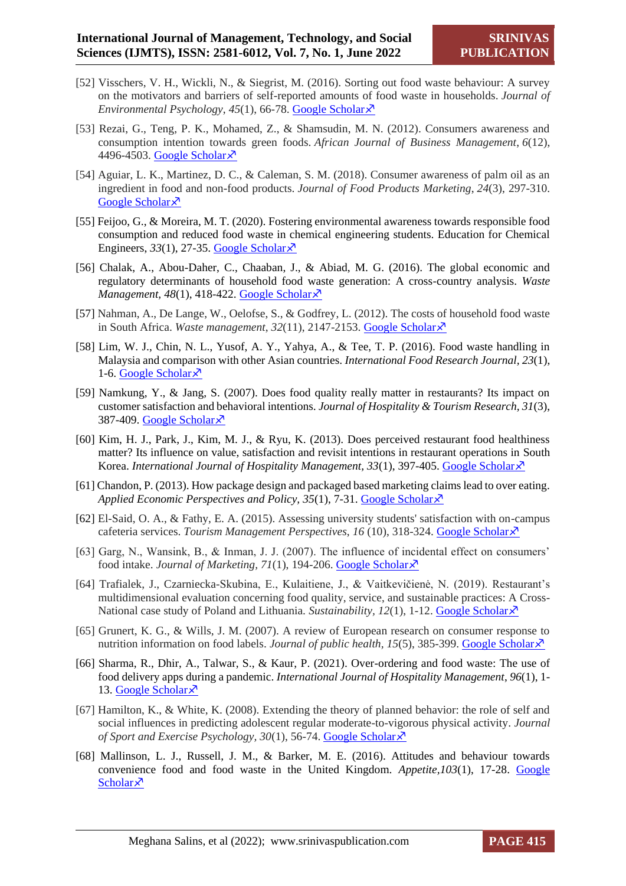- [52] Visschers, V. H., Wickli, N., & Siegrist, M. (2016). Sorting out food waste behaviour: A survey on the motivators and barriers of self-reported amounts of food waste in households. *Journal of Environmental Psychology*, 45(1), 66-78. [Google Scholar](https://scholar.google.com/scholar?hl=en&as_sdt=0%2C5&q=Visschers%2C+V.+H.%2C+Wickli%2C+N.%2C+%26+Siegrist%2C+M.+%282016%29.+Sorting+out+food+waste+behaviour%3A+A+survey+on+the+motivators+and+barriers+of+self-reported+amounts+of+food+waste+in+households.+Journal+of+Environmental+Psychology%2C+45%2C+66-78.&btnG=) $\lambda$
- [53] Rezai, G., Teng, P. K., Mohamed, Z., & Shamsudin, M. N. (2012). Consumers awareness and consumption intention towards green foods. *African Journal of Business Management*, *6*(12), 4496-4503. [Google Scholar](https://scholar.google.com/scholar?hl=en&as_sdt=0%2C5&q=Rezai%2C+G.%2C+Teng%2C+P.+K.%2C+Mohamed%2C+Z.%2C+%26+Shamsudin%2C+M.+N.+%282012%29.+Consumers+awareness+and+consumption+intention+towards+green+foods.+African+Journal+of+Business+Management%2C+6%2812%29%2C+4496-4503.&btnG=) ×
- [54] Aguiar, L. K., Martinez, D. C., & Caleman, S. M. (2018). Consumer awareness of palm oil as an ingredient in food and non-food products. *Journal of Food Products Marketing*, *24*(3), 297-310. [Google Scholar](https://scholar.google.com/scholar?hl=en&as_sdt=0%2C5&q=Aguiar%2C+L.+K.%2C+Martinez%2C+D.+C.%2C+%26+Caleman%2C+S.+M.+%282018%29.+Consumer+awareness+of+palm+oil+as+an+ingredient+in+food+and+non-food+products.+Journal+of+Food+Products+Marketing%2C+24%283%29%2C+297-310.&btnG=) ×
- [55] Feijoo, G., & Moreira, M. T. (2020). Fostering environmental awareness towards responsible food consumption and reduced food waste in chemical engineering students. Education for Chemical Engineers,  $33(1)$ , 27-35. [Google Scholar](https://scholar.google.com/scholar?hl=en&as_sdt=0%2C5&q=Feijoo%2C+G.%2C+%26+Moreira%2C+M.+T.+%282020%29.+Fostering+environmental+awareness+towards+responsible+food+consumption+and+reduced+food+waste+in+chemical+engineering+students.+Education+for+Chemical+Engineers%2C+33%2C+27-35.&btnG=) $\overline{\chi}$
- [56] Chalak, A., Abou-Daher, C., Chaaban, J., & Abiad, M. G. (2016). The global economic and regulatory determinants of household food waste generation: A cross-country analysis. *Waste Management,*  $48(1)$ ,  $418-422$ . [Google Scholar](https://scholar.google.com/scholar?hl=en&as_sdt=0%2C5&q=Chalak%2C+A.%2C+Abou-Daher%2C+C.%2C+Chaaban%2C+J.%2C+%26+Abiad%2C+M.+G.+%282016%29.+The+global+economic+and+regulatory+determinants+of+household+food+waste+generation%3A+A+cross-country+analysis.+Waste+management%2C+48%2C+418-422.&btnG=) $\lambda$ <sup>7</sup>
- [57] Nahman, A., De Lange, W., Oelofse, S., & Godfrey, L. (2012). The costs of household food waste in South Africa. *Waste management*, 32(11), 2147-2153. [Google Scholar](https://scholar.google.com/scholar?hl=en&as_sdt=0%2C5&q=Nahman%2C+A.%2C+De+Lange%2C+W.%2C+Oelofse%2C+S.%2C+%26+Godfrey%2C+L.+%282012%29.+The+costs+of+household+food+waste+in+South+Africa.+Waste+management%2C+32%2811%29%2C+2147-2153.&btnG=) ×
- [58] Lim, W. J., Chin, N. L., Yusof, A. Y., Yahya, A., & Tee, T. P. (2016). Food waste handling in Malaysia and comparison with other Asian countries. *International Food Research Journal, 23*(1), 1-6. [Google Scholar](https://scholar.google.com/scholar?hl=en&as_sdt=0%2C5&q=Lim%2C+W.+J.%2C+Chin%2C+N.+L.%2C+Yusof%2C+A.+Y.%2C+Yahya%2C+A.%2C+%26+Tee%2C+T.+P.+%282016%29.+Food+waste+handling+in+Malaysia+and+comparison+with+other+Asian+countries.+International+Food+Research+Journal%2C+23%2C+S1.&btnG=) $\overline{x}$
- [59] Namkung, Y., & Jang, S. (2007). Does food quality really matter in restaurants? Its impact on customer satisfaction and behavioral intentions. *Journal of Hospitality & Tourism Research, 31*(3), 387-409. [Google Scholar](https://scholar.google.com/scholar?hl=en&as_sdt=0%2C5&q=Namkung%2C+Y.%2C+%26+Jang%2C+S.+%282007%29.+Does+food+quality+really+matter+in+restaurants%3F+Its+impact+on+customer+satisfaction+and+behavioral+intentions.+Journal+of+Hospitality+%26+Tourism+Research%2C+31%283%29%2C+387-409&btnG=) ×
- [60] Kim, H. J., Park, J., Kim, M. J., & Ryu, K. (2013). Does perceived restaurant food healthiness matter? Its influence on value, satisfaction and revisit intentions in restaurant operations in South Korea. *International Journal of Hospitality Management, 33(1), 397-405. [Google Scholar](https://scholar.google.com/scholar?hl=en&as_sdt=0%2C5&q=Kim%2C+H.+J.%2C+Park%2C+J.%2C+Kim%2C+M.+J.%2C+%26+Ryu%2C+K.+%282013%29.+Does+perceived+restaurant+food+healthiness+matter%3F+Its+influence+on+value%2C+satisfaction+and+revisit+intentions+in+restaurant+operations+in+South+Korea.+International+Journal+of+Hospitality+Management%2C+33%2C+397-405.&btnG=)*
- [61] Chandon, P. (2013). How package design and packaged based marketing claims lead to over eating. *Applied Economic Perspectives and Policy, 35(1), 7-31. [Google Scholar](https://scholar.google.com/scholar?hl=en&as_sdt=0%2C5&q=Chandon%2C+P.+%282013%29.+How+package+design+and+packaged‐based+marketing+claims+lead+to+overeating.+Applied+Economic+Perspectives+and+Policy%2C+35%281%29%2C+7-31.&btnG=)*
- [62] El-Said, O. A., & Fathy, E. A. (2015). Assessing university students' satisfaction with on-campus cafeteria services. *Tourism Management Perspectives*, *16* (10), 318-324. [Google Scholar](https://scholar.google.com/scholar?hl=en&as_sdt=0%2C5&q=El-Said%2C+O.+A.%2C+%26+Fathy%2C+E.+A.+%282015%29.+Assessing+university+students%27+satisfaction+with+on-campus+cafeteria+services.+Tourism+Management+Perspectives%2C+16%2C+318-324.&btnG=)
- [63] Garg, N., Wansink, B., & Inman, J. J. (2007). The influence of incidental effect on consumers' food intake. *Journal of Marketing, 71*(1), 194-206[. Google Scholar](https://scholar.google.com/scholar?hl=en&as_sdt=0%2C5&q=Garg%2C+N.%2C+Wansink%2C+B.%2C+%26+Inman%2C+J.+J.+%282007%29.+The+influence+of+incidental+affect+on+consumers’+food+intake.+Journal+of+Marketing%2C+71%281%29%2C+194-206.&btnG=)
- [64] Trafialek, J., Czarniecka-Skubina, E., Kulaitiene, J., & Vaitkevičienė, N. (2019). Restaurant's multidimensional evaluation concerning food quality, service, and sustainable practices: A Cross-National case study of Poland and Lithuania. *Sustainability*,  $12(1)$ , 1-12. [Google Scholar](https://scholar.google.com/scholar?hl=en&as_sdt=0%2C5&q=Trafialek%2C+J.%2C+Czarniecka-Skubina%2C+E.%2C+Kulaitiene%2C+J.%2C+%26+Vaitkevičienė%2C+N.+%282019%29.+Restaurant’s+multidimensional+evaluation+concerning+food+quality%2C+service%2C+and+sustainable+practices%3A+A+Cross-National+case+study+of+Poland+and+Lithuania.+Sustainability%2C+12%281%29%2C+234.&btnG=) $\overline{\mathcal{S}}$
- [65] Grunert, K. G., & Wills, J. M. (2007). A review of European research on consumer response to nutrition information on food labels. *Journal of public health*, 15(5), 385-399. [Google Scholar](https://scholar.google.com/scholar?hl=en&as_sdt=0%2C5&q=Grunert%2C+K.+G.%2C+%26+Wills%2C+J.+M.+%282007%29.+A+review+of+European+research+on+consumer+response+to+nutrition+information+on+food+labels.+Journal+of+public+health%2C+15%285%29%2C+385-399.&btnG=) $\chi$ <sup>3</sup>
- [66] Sharma, R., Dhir, A., Talwar, S., & Kaur, P. (2021). Over-ordering and food waste: The use of food delivery apps during a pandemic. *International Journal of Hospitality Management*, *96*(1), 1- 13. [Google Scholar](https://scholar.google.com/scholar?hl=en&as_sdt=0%2C5&q=Sharma%2C+R.%2C+Dhir%2C+A.%2C+Talwar%2C+S.%2C+%26+Kaur%2C+P.+%282021%29.+Over-ordering+and+food+waste%3A+The+use+of+food+delivery+apps+during+a+pandemic.+International+Journal+of+Hospitality+Management%2C+96%2C+102977.&btnG=)<sup> $\bar{x}$ </sup>
- [67] Hamilton, K., & White, K. (2008). Extending the theory of planned behavior: the role of self and social influences in predicting adolescent regular moderate-to-vigorous physical activity. *Journal of Sport and Exercise Psychology, 30*(1), 56-74. [Google Scholar](https://scholar.google.com/scholar?hl=en&as_sdt=0%2C5&q=Hamilton%2C+K.%2C+%26+White%2C+K.+%282008%29.+Extending+the+theory+of+planned+behavior%3A+the+role+of+self+and+social+influences+in+predicting+adolescent+regular+moderate-to-vigorous+physical+activity.+Journal+of+Sport+and+Exercise+Psychology%2C+30%281%29%2C+56-74.&btnG=)
- [68] Mallinson, L. J., Russell, J. M., & Barker, M. E. (2016). Attitudes and behaviour towards convenience food and food waste in the United Kingdom. *Appetite,103*(1), 17-28. [Google](https://scholar.google.com/scholar?hl=en&as_sdt=0%2C5&q=Mallinson%2C+L.+J.%2C+Russell%2C+J.+M.%2C+%26+Barker%2C+M.+E.+%282016%29.+Attitudes+and+behaviour+towards+convenience+food+and+food+waste+in+the+United+Kingdom.+Appetite%2C+103%2C+17-28.&btnG=)  [Scholar](https://scholar.google.com/scholar?hl=en&as_sdt=0%2C5&q=Mallinson%2C+L.+J.%2C+Russell%2C+J.+M.%2C+%26+Barker%2C+M.+E.+%282016%29.+Attitudes+and+behaviour+towards+convenience+food+and+food+waste+in+the+United+Kingdom.+Appetite%2C+103%2C+17-28.&btnG=) $\lambda$